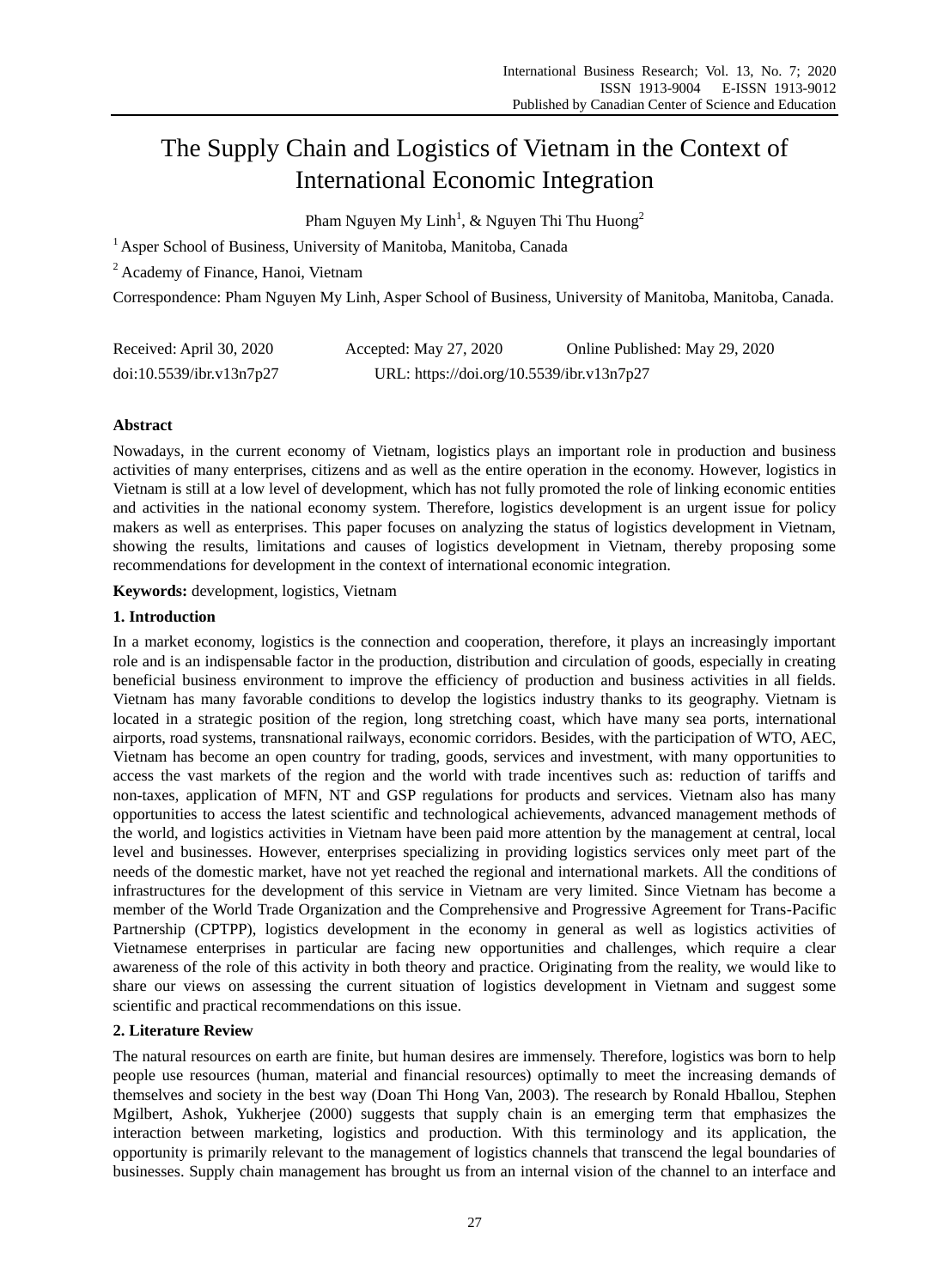# The Supply Chain and Logistics of Vietnam in the Context of International Economic Integration

Pham Nguyen My Linh<sup>1</sup>, & Nguyen Thi Thu Huong<sup>2</sup>

<sup>1</sup> Asper School of Business, University of Manitoba, Manitoba, Canada

<sup>2</sup> Academy of Finance, Hanoi, Vietnam

Correspondence: Pham Nguyen My Linh, Asper School of Business, University of Manitoba, Manitoba, Canada.

| Received: April 30, 2020 | Accepted: May 27, 2020                    | Online Published: May 29, 2020 |
|--------------------------|-------------------------------------------|--------------------------------|
| doi:10.5539/ibr.v13n7p27 | URL: https://doi.org/10.5539/ibr.v13n7p27 |                                |

# **Abstract**

Nowadays, in the current economy of Vietnam, logistics plays an important role in production and business activities of many enterprises, citizens and as well as the entire operation in the economy. However, logistics in Vietnam is still at a low level of development, which has not fully promoted the role of linking economic entities and activities in the national economy system. Therefore, logistics development is an urgent issue for policy makers as well as enterprises. This paper focuses on analyzing the status of logistics development in Vietnam, showing the results, limitations and causes of logistics development in Vietnam, thereby proposing some recommendations for development in the context of international economic integration.

**Keywords:** development, logistics, Vietnam

## **1. Introduction**

In a market economy, logistics is the connection and cooperation, therefore, it plays an increasingly important role and is an indispensable factor in the production, distribution and circulation of goods, especially in creating beneficial business environment to improve the efficiency of production and business activities in all fields. Vietnam has many favorable conditions to develop the logistics industry thanks to its geography. Vietnam is located in a strategic position of the region, long stretching coast, which have many sea ports, international airports, road systems, transnational railways, economic corridors. Besides, with the participation of WTO, AEC, Vietnam has become an open country for trading, goods, services and investment, with many opportunities to access the vast markets of the region and the world with trade incentives such as: reduction of tariffs and non-taxes, application of MFN, NT and GSP regulations for products and services. Vietnam also has many opportunities to access the latest scientific and technological achievements, advanced management methods of the world, and logistics activities in Vietnam have been paid more attention by the management at central, local level and businesses. However, enterprises specializing in providing logistics services only meet part of the needs of the domestic market, have not yet reached the regional and international markets. All the conditions of infrastructures for the development of this service in Vietnam are very limited. Since Vietnam has become a member of the World Trade Organization and the Comprehensive and Progressive Agreement for Trans-Pacific Partnership (CPTPP), logistics development in the economy in general as well as logistics activities of Vietnamese enterprises in particular are facing new opportunities and challenges, which require a clear awareness of the role of this activity in both theory and practice. Originating from the reality, we would like to share our views on assessing the current situation of logistics development in Vietnam and suggest some scientific and practical recommendations on this issue.

# **2. Literature Review**

The natural resources on earth are finite, but human desires are immensely. Therefore, logistics was born to help people use resources (human, material and financial resources) optimally to meet the increasing demands of themselves and society in the best way (Doan Thi Hong Van, 2003). The research by Ronald Hballou, Stephen Mgilbert, Ashok, Yukherjee (2000) suggests that supply chain is an emerging term that emphasizes the interaction between marketing, logistics and production. With this terminology and its application, the opportunity is primarily relevant to the management of logistics channels that transcend the legal boundaries of businesses. Supply chain management has brought us from an internal vision of the channel to an interface and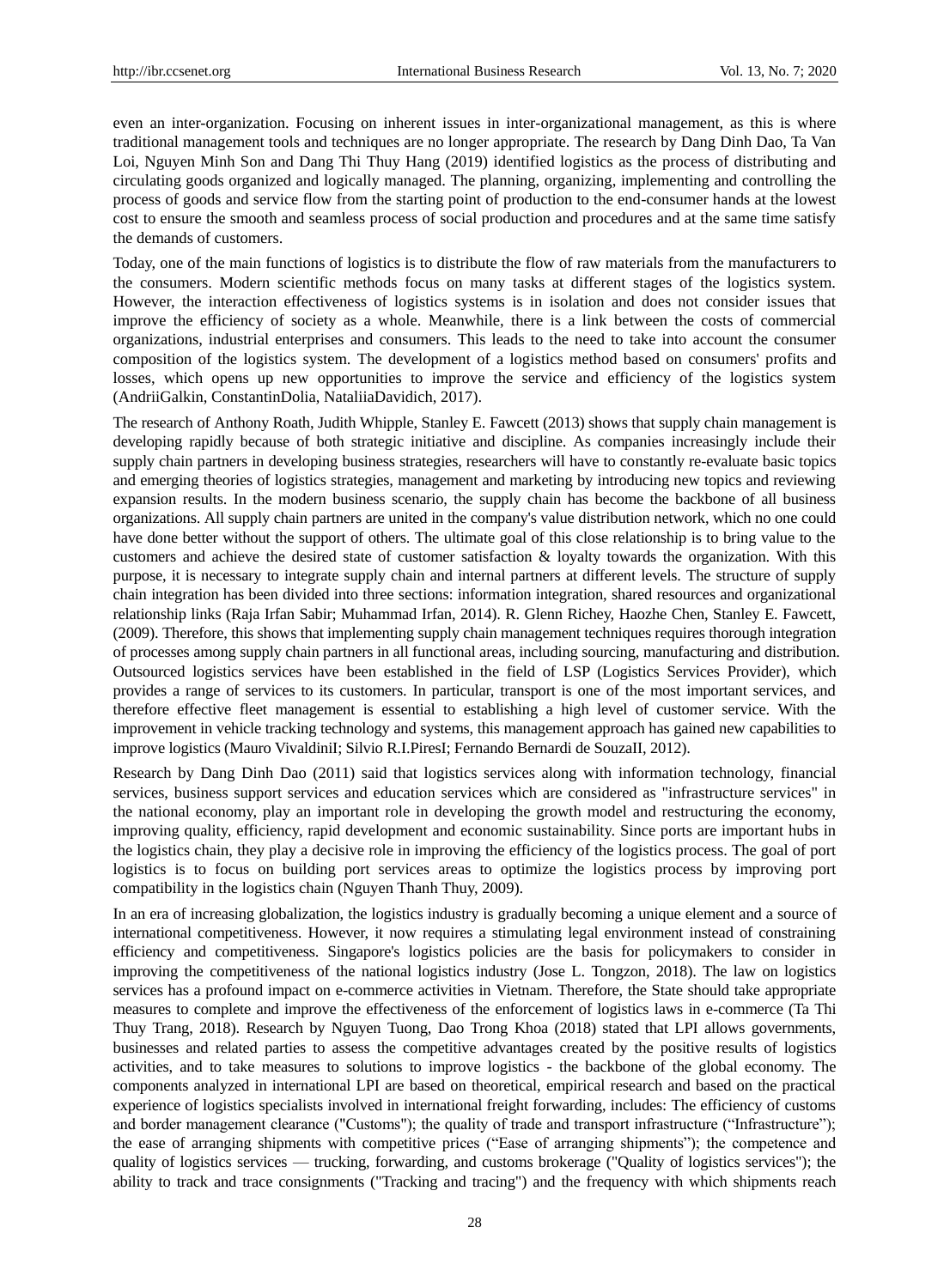even an inter-organization. Focusing on inherent issues in inter-organizational management, as this is where traditional management tools and techniques are no longer appropriate. The research by Dang Dinh Dao, Ta Van Loi, Nguyen Minh Son and Dang Thi Thuy Hang (2019) identified logistics as the process of distributing and circulating goods organized and logically managed. The planning, organizing, implementing and controlling the process of goods and service flow from the starting point of production to the end-consumer hands at the lowest cost to ensure the smooth and seamless process of social production and procedures and at the same time satisfy the demands of customers.

Today, one of the main functions of logistics is to distribute the flow of raw materials from the manufacturers to the consumers. Modern scientific methods focus on many tasks at different stages of the logistics system. However, the interaction effectiveness of logistics systems is in isolation and does not consider issues that improve the efficiency of society as a whole. Meanwhile, there is a link between the costs of commercial organizations, industrial enterprises and consumers. This leads to the need to take into account the consumer composition of the logistics system. The development of a logistics method based on consumers' profits and losses, which opens up new opportunities to improve the service and efficiency of the logistics system (AndriiGalkin, ConstantinDolia, NataliiaDavidich, 2017).

The research of Anthony Roath, Judith Whipple, Stanley E. Fawcett (2013) shows that supply chain management is developing rapidly because of both strategic initiative and discipline. As companies increasingly include their supply chain partners in developing business strategies, researchers will have to constantly re-evaluate basic topics and emerging theories of logistics strategies, management and marketing by introducing new topics and reviewing expansion results. In the modern business scenario, the supply chain has become the backbone of all business organizations. All supply chain partners are united in the company's value distribution network, which no one could have done better without the support of others. The ultimate goal of this close relationship is to bring value to the customers and achieve the desired state of customer satisfaction & loyalty towards the organization. With this purpose, it is necessary to integrate supply chain and internal partners at different levels. The structure of supply chain integration has been divided into three sections: information integration, shared resources and organizational relationship links (Raja Irfan Sabir; Muhammad Irfan, 2014). R. Glenn Richey, Haozhe Chen, Stanley E. Fawcett, (2009). Therefore, this shows that implementing supply chain management techniques requires thorough integration of processes among supply chain partners in all functional areas, including sourcing, manufacturing and distribution. Outsourced logistics services have been established in the field of LSP (Logistics Services Provider), which provides a range of services to its customers. In particular, transport is one of the most important services, and therefore effective fleet management is essential to establishing a high level of customer service. With the improvement in vehicle tracking technology and systems, this management approach has gained new capabilities to improve logistics (Mauro VivaldiniI; Silvio R.I.PiresI; Fernando Bernardi de SouzaII, 2012).

Research by Dang Dinh Dao (2011) said that logistics services along with information technology, financial services, business support services and education services which are considered as "infrastructure services" in the national economy, play an important role in developing the growth model and restructuring the economy, improving quality, efficiency, rapid development and economic sustainability. Since ports are important hubs in the logistics chain, they play a decisive role in improving the efficiency of the logistics process. The goal of port logistics is to focus on building port services areas to optimize the logistics process by improving port compatibility in the logistics chain (Nguyen Thanh Thuy, 2009).

In an era of increasing globalization, the logistics industry is gradually becoming a unique element and a source of international competitiveness. However, it now requires a stimulating legal environment instead of constraining efficiency and competitiveness. Singapore's logistics policies are the basis for policymakers to consider in improving the competitiveness of the national logistics industry (Jose L. Tongzon, 2018). The law on logistics services has a profound impact on e-commerce activities in Vietnam. Therefore, the State should take appropriate measures to complete and improve the effectiveness of the enforcement of logistics laws in e-commerce (Ta Thi Thuy Trang, 2018). Research by Nguyen Tuong, Dao Trong Khoa (2018) stated that LPI allows governments, businesses and related parties to assess the competitive advantages created by the positive results of logistics activities, and to take measures to solutions to improve logistics - the backbone of the global economy. The components analyzed in international LPI are based on theoretical, empirical research and based on the practical experience of logistics specialists involved in international freight forwarding, includes: The efficiency of customs and border management clearance ("Customs"); the quality of trade and transport infrastructure ("Infrastructure"); the ease of arranging shipments with competitive prices ("Ease of arranging shipments"); the competence and quality of logistics services — trucking, forwarding, and customs brokerage ("Quality of logistics services"); the ability to track and trace consignments ("Tracking and tracing") and the frequency with which shipments reach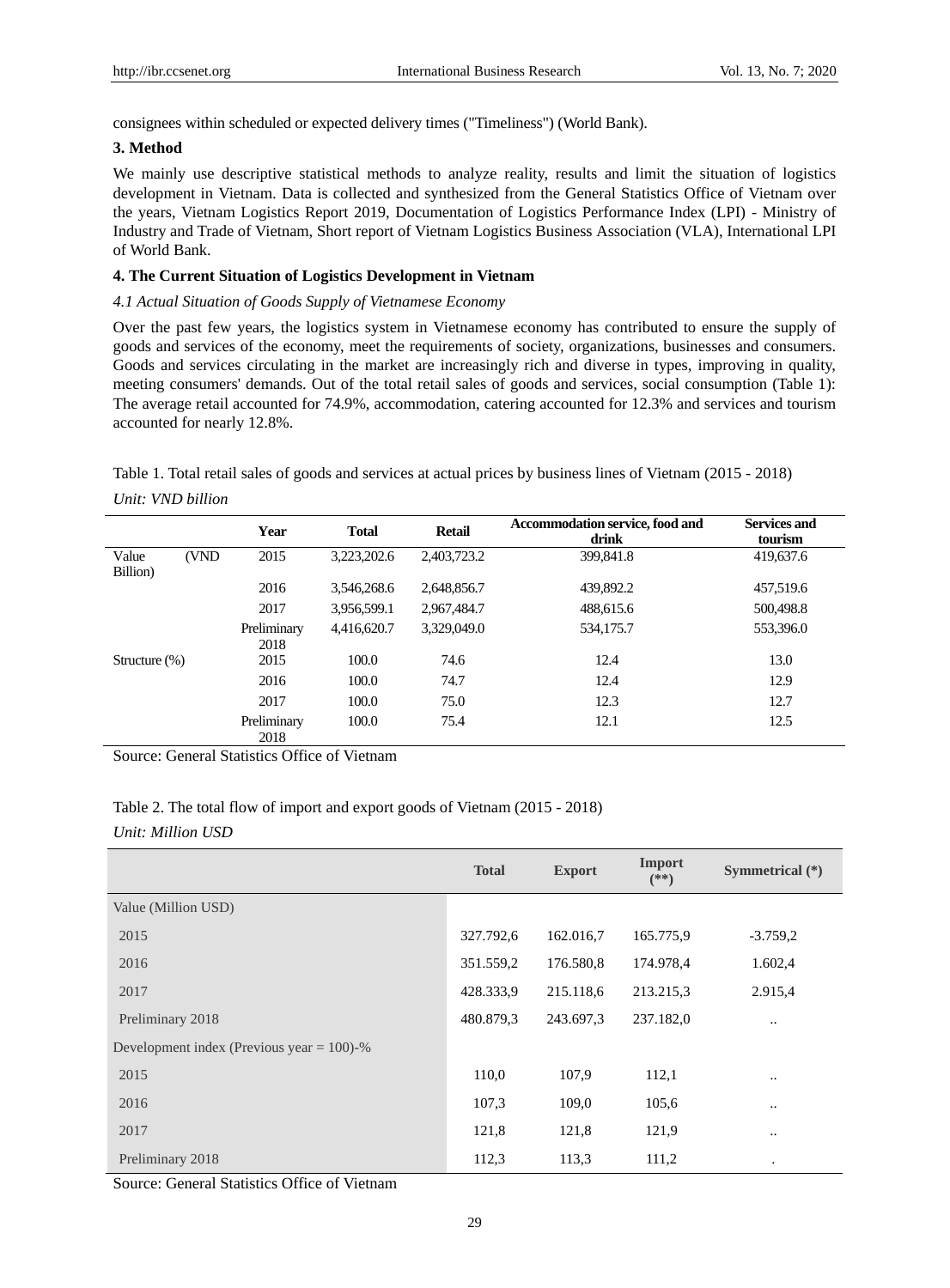consignees within scheduled or expected delivery times ("Timeliness") (World Bank).

# **3. Method**

We mainly use descriptive statistical methods to analyze reality, results and limit the situation of logistics development in Vietnam. Data is collected and synthesized from the General Statistics Office of Vietnam over the years, Vietnam Logistics Report 2019, Documentation of Logistics Performance Index (LPI) - Ministry of Industry and Trade of Vietnam, Short report of Vietnam Logistics Business Association (VLA), International LPI of World Bank.

# **4. The Current Situation of Logistics Development in Vietnam**

# *4.1 Actual Situation of Goods Supply of Vietnamese Economy*

Over the past few years, the logistics system in Vietnamese economy has contributed to ensure the supply of goods and services of the economy, meet the requirements of society, organizations, businesses and consumers. Goods and services circulating in the market are increasingly rich and diverse in types, improving in quality, meeting consumers' demands. Out of the total retail sales of goods and services, social consumption (Table 1): The average retail accounted for 74.9%, accommodation, catering accounted for 12.3% and services and tourism accounted for nearly 12.8%.

| Table 1. Total retail sales of goods and services at actual prices by business lines of Vietnam (2015 - 2018) |  |
|---------------------------------------------------------------------------------------------------------------|--|
| Unit: VND billion                                                                                             |  |

|                   |       | Year                | <b>Total</b> | <b>Retail</b> | Accommodation service, food and<br>drink | <b>Services and</b><br>tourism |
|-------------------|-------|---------------------|--------------|---------------|------------------------------------------|--------------------------------|
| Value<br>Billion) | (VND) | 2015                | 3,223,202.6  | 2,403,723.2   | 399,841.8                                | 419,637.6                      |
|                   |       | 2016                | 3,546,268.6  | 2,648,856.7   | 439,892.2                                | 457,519.6                      |
|                   |       | 2017                | 3,956,599.1  | 2,967,484.7   | 488,615.6                                | 500,498.8                      |
|                   |       | Preliminary<br>2018 | 4,416,620.7  | 3,329,049.0   | 534,175.7                                | 553,396.0                      |
| Structure $(\%)$  |       | 2015                | 100.0        | 74.6          | 12.4                                     | 13.0                           |
|                   |       | 2016                | 100.0        | 74.7          | 12.4                                     | 12.9                           |
|                   |       | 2017                | 100.0        | 75.0          | 12.3                                     | 12.7                           |
|                   |       | Preliminary<br>2018 | 100.0        | 75.4          | 12.1                                     | 12.5                           |

Source: General Statistics Office of Vietnam

| Table 2. The total flow of import and export goods of Vietnam (2015 - 2018) |  |
|-----------------------------------------------------------------------------|--|
| Unit: Million USD                                                           |  |

|                                              | <b>Total</b> | <b>Export</b> | Import<br>$(**)$ | Symmetrical (*) |
|----------------------------------------------|--------------|---------------|------------------|-----------------|
| Value (Million USD)                          |              |               |                  |                 |
| 2015                                         | 327.792,6    | 162.016,7     | 165.775,9        | $-3.759,2$      |
| 2016                                         | 351.559,2    | 176.580,8     | 174.978,4        | 1.602,4         |
| 2017                                         | 428.333,9    | 215.118,6     | 213.215,3        | 2.915,4         |
| Preliminary 2018                             | 480.879,3    | 243.697,3     | 237.182,0        |                 |
| Development index (Previous year $= 100$ )-% |              |               |                  |                 |
| 2015                                         | 110,0        | 107,9         | 112,1            |                 |
| 2016                                         | 107,3        | 109,0         | 105,6            | $\ddotsc$       |
| 2017                                         | 121,8        | 121,8         | 121,9            | $\ddotsc$       |
| Preliminary 2018                             | 112,3        | 113.3         | 111,2            | ٠               |

Source: General Statistics Office of Vietnam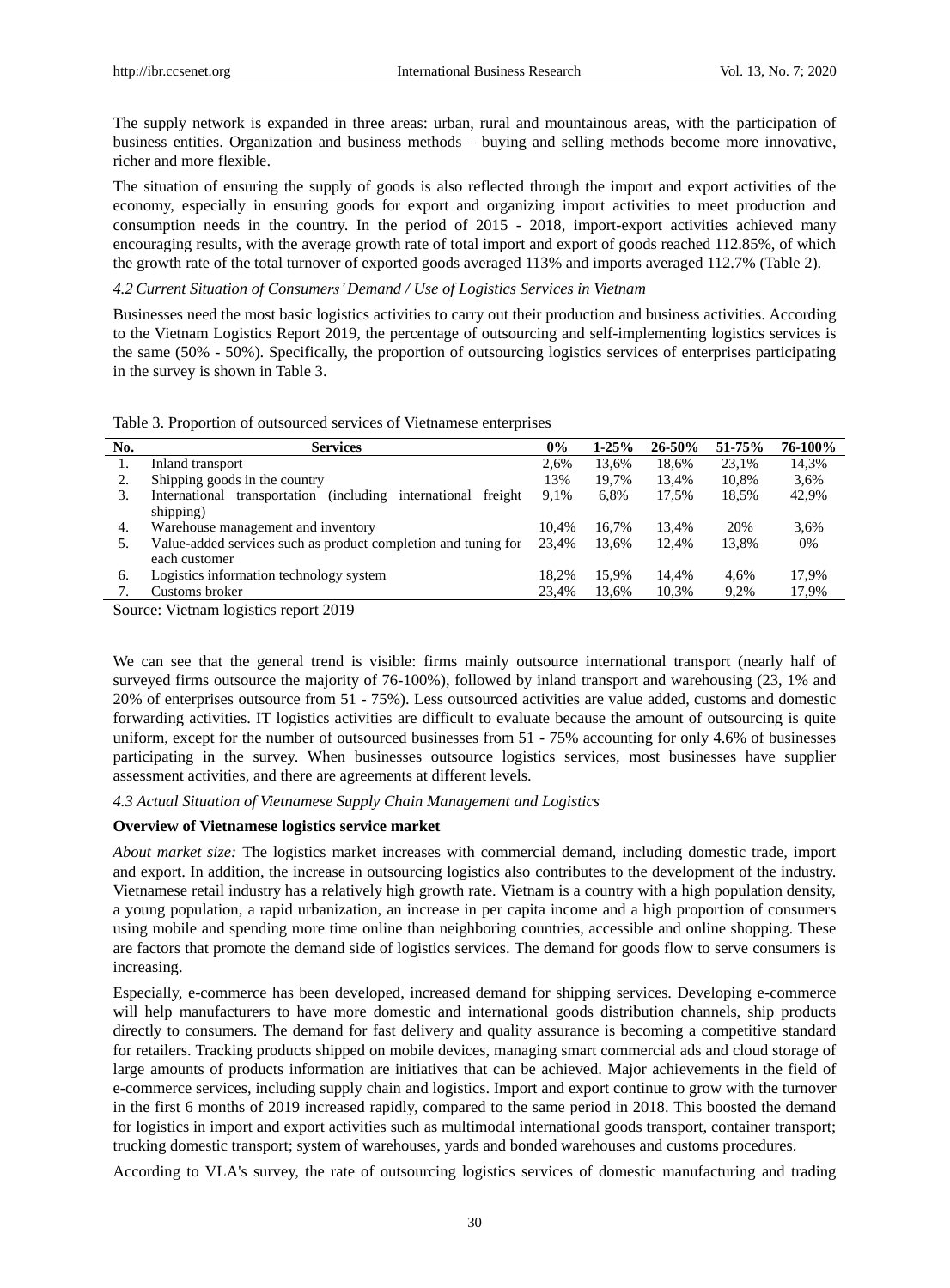The supply network is expanded in three areas: urban, rural and mountainous areas, with the participation of business entities. Organization and business methods – buying and selling methods become more innovative, richer and more flexible.

The situation of ensuring the supply of goods is also reflected through the import and export activities of the economy, especially in ensuring goods for export and organizing import activities to meet production and consumption needs in the country. In the period of 2015 - 2018, import-export activities achieved many encouraging results, with the average growth rate of total import and export of goods reached 112.85%, of which the growth rate of the total turnover of exported goods averaged 113% and imports averaged 112.7% (Table 2).

## *4.2 Current Situation of Consumers' Demand / Use of Logistics Services in Vietnam*

Businesses need the most basic logistics activities to carry out their production and business activities. According to the Vietnam Logistics Report 2019, the percentage of outsourcing and self-implementing logistics services is the same (50% - 50%). Specifically, the proportion of outsourcing logistics services of enterprises participating in the survey is shown in Table 3.

Table 3. Proportion of outsourced services of Vietnamese enterprises

| No. | <b>Services</b>                                                      | $0\%$ | $1 - 25%$ | $26 - 50%$ | 51-75% | 76-100% |
|-----|----------------------------------------------------------------------|-------|-----------|------------|--------|---------|
| 1.  | Inland transport                                                     | 2.6%  | 13.6%     | 18.6%      | 23,1%  | 14,3%   |
| 2.  | Shipping goods in the country                                        | 13%   | 19.7%     | 13.4%      | 10,8%  | 3.6%    |
| 3.  | International transportation<br>(including international)<br>freight | 9.1%  | 6.8%      | 17.5%      | 18.5%  | 42,9%   |
|     | shipping)                                                            |       |           |            |        |         |
| 4.  | Warehouse management and inventory                                   | 10.4% | 16.7%     | 13.4%      | 20%    | 3.6%    |
| 5.  | Value-added services such as product completion and tuning for       | 23,4% | 13.6%     | 12.4%      | 13,8%  | 0%      |
|     | each customer                                                        |       |           |            |        |         |
| 6.  | Logistics information technology system                              | 18.2% | 15.9%     | 14.4%      | 4.6%   | 17,9%   |
|     | Customs broker                                                       | 23.4% | 13.6%     | 10,3%      | 9,2%   | 17,9%   |

Source: Vietnam logistics report 2019

We can see that the general trend is visible: firms mainly outsource international transport (nearly half of surveyed firms outsource the majority of 76-100%), followed by inland transport and warehousing (23, 1% and 20% of enterprises outsource from 51 - 75%). Less outsourced activities are value added, customs and domestic forwarding activities. IT logistics activities are difficult to evaluate because the amount of outsourcing is quite uniform, except for the number of outsourced businesses from 51 - 75% accounting for only 4.6% of businesses participating in the survey. When businesses outsource logistics services, most businesses have supplier assessment activities, and there are agreements at different levels.

#### *4.3 Actual Situation of Vietnamese Supply Chain Management and Logistics*

## **Overview of Vietnamese logistics service market**

*About market size:* The logistics market increases with commercial demand, including domestic trade, import and export. In addition, the increase in outsourcing logistics also contributes to the development of the industry. Vietnamese retail industry has a relatively high growth rate. Vietnam is a country with a high population density, a young population, a rapid urbanization, an increase in per capita income and a high proportion of consumers using mobile and spending more time online than neighboring countries, accessible and online shopping. These are factors that promote the demand side of logistics services. The demand for goods flow to serve consumers is increasing.

Especially, e-commerce has been developed, increased demand for shipping services. Developing e-commerce will help manufacturers to have more domestic and international goods distribution channels, ship products directly to consumers. The demand for fast delivery and quality assurance is becoming a competitive standard for retailers. Tracking products shipped on mobile devices, managing smart commercial ads and cloud storage of large amounts of products information are initiatives that can be achieved. Major achievements in the field of e-commerce services, including supply chain and logistics. Import and export continue to grow with the turnover in the first 6 months of 2019 increased rapidly, compared to the same period in 2018. This boosted the demand for logistics in import and export activities such as multimodal international goods transport, container transport; trucking domestic transport; system of warehouses, yards and bonded warehouses and customs procedures.

According to VLA's survey, the rate of outsourcing logistics services of domestic manufacturing and trading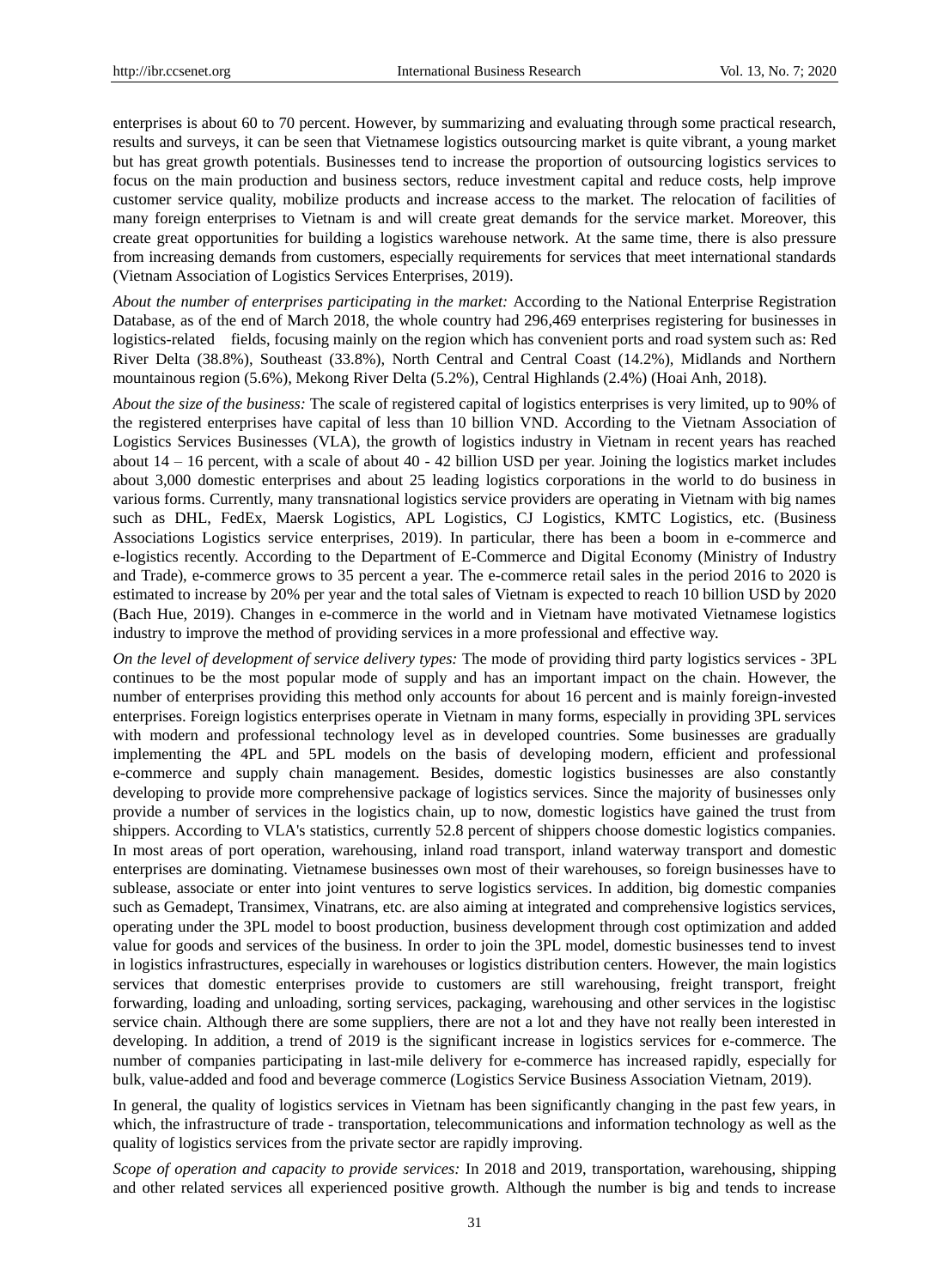enterprises is about 60 to 70 percent. However, by summarizing and evaluating through some practical research, results and surveys, it can be seen that Vietnamese logistics outsourcing market is quite vibrant, a young market but has great growth potentials. Businesses tend to increase the proportion of outsourcing logistics services to focus on the main production and business sectors, reduce investment capital and reduce costs, help improve customer service quality, mobilize products and increase access to the market. The relocation of facilities of many foreign enterprises to Vietnam is and will create great demands for the service market. Moreover, this create great opportunities for building a logistics warehouse network. At the same time, there is also pressure from increasing demands from customers, especially requirements for services that meet international standards (Vietnam Association of Logistics Services Enterprises, 2019).

*About the number of enterprises participating in the market:* According to the National Enterprise Registration Database, as of the end of March 2018, the whole country had 296,469 enterprises registering for businesses in logistics-related fields, focusing mainly on the region which has convenient ports and road system such as: Red River Delta (38.8%), Southeast (33.8%), North Central and Central Coast (14.2%), Midlands and Northern mountainous region (5.6%), Mekong River Delta (5.2%), Central Highlands (2.4%) (Hoai Anh, 2018).

*About the size of the business:* The scale of registered capital of logistics enterprises is very limited, up to 90% of the registered enterprises have capital of less than 10 billion VND. According to the Vietnam Association of Logistics Services Businesses (VLA), the growth of logistics industry in Vietnam in recent years has reached about  $14 - 16$  percent, with a scale of about  $40 - 42$  billion USD per year. Joining the logistics market includes about 3,000 domestic enterprises and about 25 leading logistics corporations in the world to do business in various forms. Currently, many transnational logistics service providers are operating in Vietnam with big names such as DHL, FedEx, Maersk Logistics, APL Logistics, CJ Logistics, KMTC Logistics, etc. (Business Associations Logistics service enterprises, 2019). In particular, there has been a boom in e-commerce and e-logistics recently. According to the Department of E-Commerce and Digital Economy (Ministry of Industry and Trade), e-commerce grows to 35 percent a year. The e-commerce retail sales in the period 2016 to 2020 is estimated to increase by 20% per year and the total sales of Vietnam is expected to reach 10 billion USD by 2020 (Bach Hue, 2019). Changes in e-commerce in the world and in Vietnam have motivated Vietnamese logistics industry to improve the method of providing services in a more professional and effective way.

*On the level of development of service delivery types:* The mode of providing third party logistics services - 3PL continues to be the most popular mode of supply and has an important impact on the chain. However, the number of enterprises providing this method only accounts for about 16 percent and is mainly foreign-invested enterprises. Foreign logistics enterprises operate in Vietnam in many forms, especially in providing 3PL services with modern and professional technology level as in developed countries. Some businesses are gradually implementing the 4PL and 5PL models on the basis of developing modern, efficient and professional e-commerce and supply chain management. Besides, domestic logistics businesses are also constantly developing to provide more comprehensive package of logistics services. Since the majority of businesses only provide a number of services in the logistics chain, up to now, domestic logistics have gained the trust from shippers. According to VLA's statistics, currently 52.8 percent of shippers choose domestic logistics companies. In most areas of port operation, warehousing, inland road transport, inland waterway transport and domestic enterprises are dominating. Vietnamese businesses own most of their warehouses, so foreign businesses have to sublease, associate or enter into joint ventures to serve logistics services. In addition, big domestic companies such as Gemadept, Transimex, Vinatrans, etc. are also aiming at integrated and comprehensive logistics services, operating under the 3PL model to boost production, business development through cost optimization and added value for goods and services of the business. In order to join the 3PL model, domestic businesses tend to invest in logistics infrastructures, especially in warehouses or logistics distribution centers. However, the main logistics services that domestic enterprises provide to customers are still warehousing, freight transport, freight forwarding, loading and unloading, sorting services, packaging, warehousing and other services in the logistisc service chain. Although there are some suppliers, there are not a lot and they have not really been interested in developing. In addition, a trend of 2019 is the significant increase in logistics services for e-commerce. The number of companies participating in last-mile delivery for e-commerce has increased rapidly, especially for bulk, value-added and food and beverage commerce (Logistics Service Business Association Vietnam, 2019).

In general, the quality of logistics services in Vietnam has been significantly changing in the past few years, in which, the infrastructure of trade - transportation, telecommunications and information technology as well as the quality of logistics services from the private sector are rapidly improving.

*Scope of operation and capacity to provide services:* In 2018 and 2019, transportation, warehousing, shipping and other related services all experienced positive growth. Although the number is big and tends to increase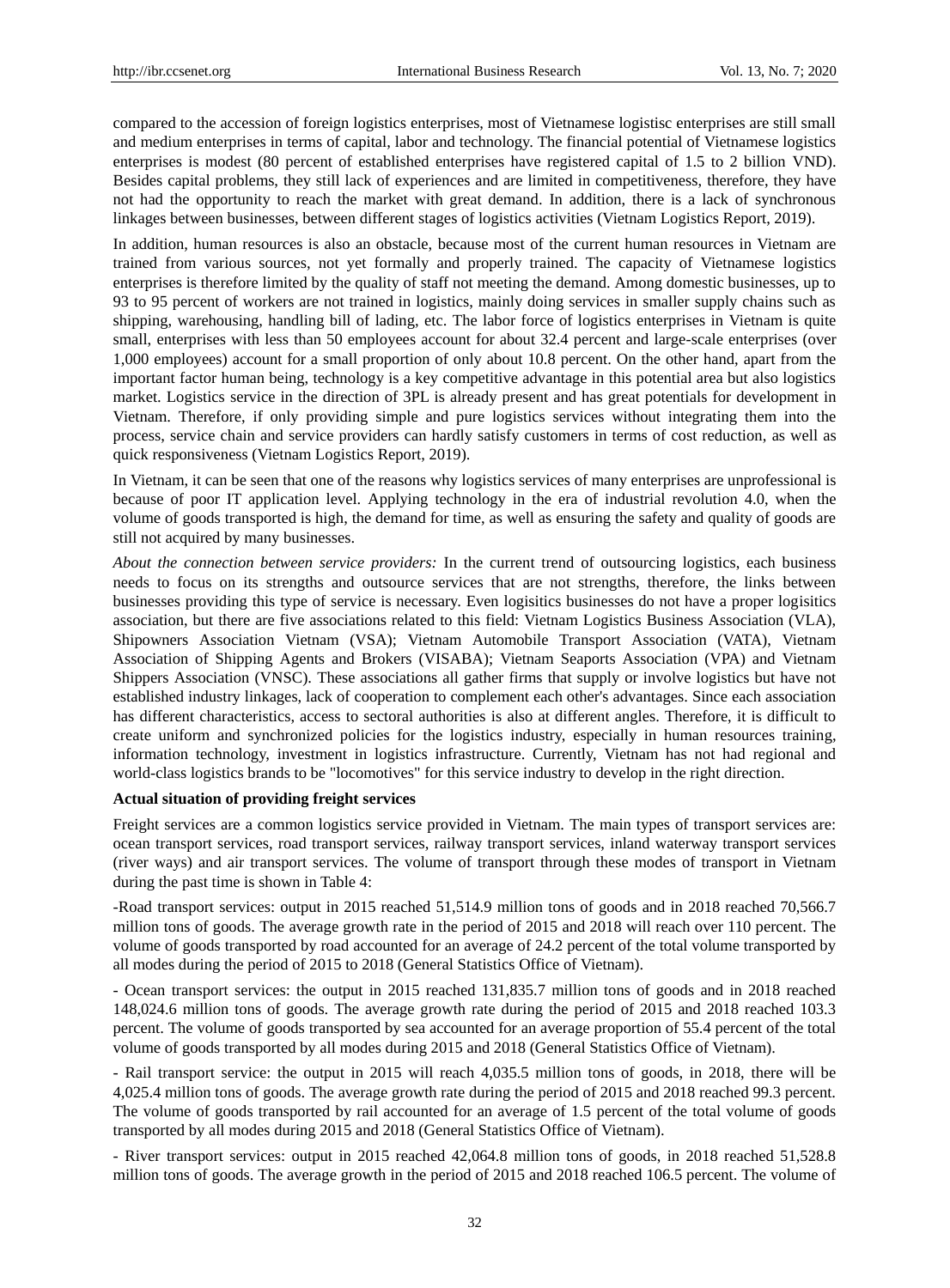compared to the accession of foreign logistics enterprises, most of Vietnamese logistisc enterprises are still small and medium enterprises in terms of capital, labor and technology. The financial potential of Vietnamese logistics enterprises is modest (80 percent of established enterprises have registered capital of 1.5 to 2 billion VND). Besides capital problems, they still lack of experiences and are limited in competitiveness, therefore, they have not had the opportunity to reach the market with great demand. In addition, there is a lack of synchronous linkages between businesses, between different stages of logistics activities (Vietnam Logistics Report, 2019).

In addition, human resources is also an obstacle, because most of the current human resources in Vietnam are trained from various sources, not yet formally and properly trained. The capacity of Vietnamese logistics enterprises is therefore limited by the quality of staff not meeting the demand. Among domestic businesses, up to 93 to 95 percent of workers are not trained in logistics, mainly doing services in smaller supply chains such as shipping, warehousing, handling bill of lading, etc. The labor force of logistics enterprises in Vietnam is quite small, enterprises with less than 50 employees account for about 32.4 percent and large-scale enterprises (over 1,000 employees) account for a small proportion of only about 10.8 percent. On the other hand, apart from the important factor human being, technology is a key competitive advantage in this potential area but also logistics market. Logistics service in the direction of 3PL is already present and has great potentials for development in Vietnam. Therefore, if only providing simple and pure logistics services without integrating them into the process, service chain and service providers can hardly satisfy customers in terms of cost reduction, as well as quick responsiveness (Vietnam Logistics Report, 2019).

In Vietnam, it can be seen that one of the reasons why logistics services of many enterprises are unprofessional is because of poor IT application level. Applying technology in the era of industrial revolution 4.0, when the volume of goods transported is high, the demand for time, as well as ensuring the safety and quality of goods are still not acquired by many businesses.

*About the connection between service providers:* In the current trend of outsourcing logistics, each business needs to focus on its strengths and outsource services that are not strengths, therefore, the links between businesses providing this type of service is necessary. Even logisitics businesses do not have a proper logisitics association, but there are five associations related to this field: Vietnam Logistics Business Association (VLA), Shipowners Association Vietnam (VSA); Vietnam Automobile Transport Association (VATA), Vietnam Association of Shipping Agents and Brokers (VISABA); Vietnam Seaports Association (VPA) and Vietnam Shippers Association (VNSC). These associations all gather firms that supply or involve logistics but have not established industry linkages, lack of cooperation to complement each other's advantages. Since each association has different characteristics, access to sectoral authorities is also at different angles. Therefore, it is difficult to create uniform and synchronized policies for the logistics industry, especially in human resources training, information technology, investment in logistics infrastructure. Currently, Vietnam has not had regional and world-class logistics brands to be "locomotives" for this service industry to develop in the right direction.

## **Actual situation of providing freight services**

Freight services are a common logistics service provided in Vietnam. The main types of transport services are: ocean transport services, road transport services, railway transport services, inland waterway transport services (river ways) and air transport services. The volume of transport through these modes of transport in Vietnam during the past time is shown in Table 4:

-Road transport services: output in 2015 reached 51,514.9 million tons of goods and in 2018 reached 70,566.7 million tons of goods. The average growth rate in the period of 2015 and 2018 will reach over 110 percent. The volume of goods transported by road accounted for an average of 24.2 percent of the total volume transported by all modes during the period of 2015 to 2018 (General Statistics Office of Vietnam).

- Ocean transport services: the output in 2015 reached 131,835.7 million tons of goods and in 2018 reached 148,024.6 million tons of goods. The average growth rate during the period of 2015 and 2018 reached 103.3 percent. The volume of goods transported by sea accounted for an average proportion of 55.4 percent of the total volume of goods transported by all modes during 2015 and 2018 (General Statistics Office of Vietnam).

- Rail transport service: the output in 2015 will reach 4,035.5 million tons of goods, in 2018, there will be 4,025.4 million tons of goods. The average growth rate during the period of 2015 and 2018 reached 99.3 percent. The volume of goods transported by rail accounted for an average of 1.5 percent of the total volume of goods transported by all modes during 2015 and 2018 (General Statistics Office of Vietnam).

- River transport services: output in 2015 reached 42,064.8 million tons of goods, in 2018 reached 51,528.8 million tons of goods. The average growth in the period of 2015 and 2018 reached 106.5 percent. The volume of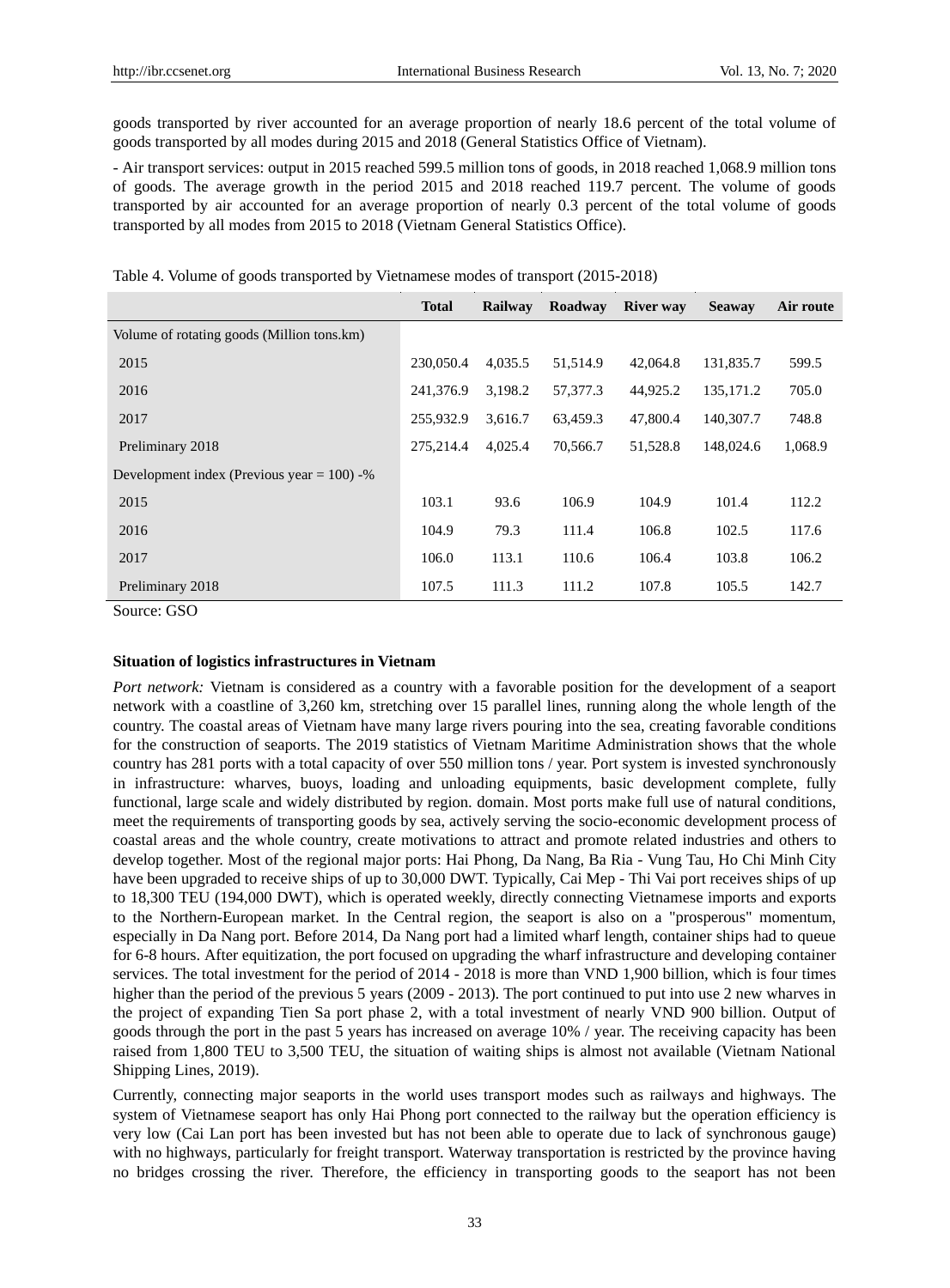goods transported by river accounted for an average proportion of nearly 18.6 percent of the total volume of goods transported by all modes during 2015 and 2018 (General Statistics Office of Vietnam).

- Air transport services: output in 2015 reached 599.5 million tons of goods, in 2018 reached 1,068.9 million tons of goods. The average growth in the period 2015 and 2018 reached 119.7 percent. The volume of goods transported by air accounted for an average proportion of nearly 0.3 percent of the total volume of goods transported by all modes from 2015 to 2018 (Vietnam General Statistics Office).

|                                               | <b>Total</b> | Railway | Roadway  | <b>River</b> way | <b>Seaway</b> | Air route |
|-----------------------------------------------|--------------|---------|----------|------------------|---------------|-----------|
| Volume of rotating goods (Million tons.km)    |              |         |          |                  |               |           |
| 2015                                          | 230,050.4    | 4,035.5 | 51,514.9 | 42,064.8         | 131,835.7     | 599.5     |
| 2016                                          | 241,376.9    | 3.198.2 | 57,377.3 | 44,925.2         | 135, 171.2    | 705.0     |
| 2017                                          | 255,932.9    | 3.616.7 | 63,459.3 | 47,800.4         | 140,307.7     | 748.8     |
| Preliminary 2018                              | 275.214.4    | 4,025.4 | 70.566.7 | 51,528.8         | 148,024.6     | 1,068.9   |
| Development index (Previous year = $100$ ) -% |              |         |          |                  |               |           |
| 2015                                          | 103.1        | 93.6    | 106.9    | 104.9            | 101.4         | 112.2     |
| 2016                                          | 104.9        | 79.3    | 111.4    | 106.8            | 102.5         | 117.6     |
| 2017                                          | 106.0        | 113.1   | 110.6    | 106.4            | 103.8         | 106.2     |
| Preliminary 2018                              | 107.5        | 111.3   | 111.2    | 107.8            | 105.5         | 142.7     |

Source: GSO

## **Situation of logistics infrastructures in Vietnam**

*Port network:* Vietnam is considered as a country with a favorable position for the development of a seaport network with a coastline of 3,260 km, stretching over 15 parallel lines, running along the whole length of the country. The coastal areas of Vietnam have many large rivers pouring into the sea, creating favorable conditions for the construction of seaports. The 2019 statistics of Vietnam Maritime Administration shows that the whole country has 281 ports with a total capacity of over 550 million tons / year. Port system is invested synchronously in infrastructure: wharves, buoys, loading and unloading equipments, basic development complete, fully functional, large scale and widely distributed by region. domain. Most ports make full use of natural conditions, meet the requirements of transporting goods by sea, actively serving the socio-economic development process of coastal areas and the whole country, create motivations to attract and promote related industries and others to develop together. Most of the regional major ports: Hai Phong, Da Nang, Ba Ria - Vung Tau, Ho Chi Minh City have been upgraded to receive ships of up to 30,000 DWT. Typically, Cai Mep - Thi Vai port receives ships of up to 18,300 TEU (194,000 DWT), which is operated weekly, directly connecting Vietnamese imports and exports to the Northern-European market. In the Central region, the seaport is also on a "prosperous" momentum, especially in Da Nang port. Before 2014, Da Nang port had a limited wharf length, container ships had to queue for 6-8 hours. After equitization, the port focused on upgrading the wharf infrastructure and developing container services. The total investment for the period of 2014 - 2018 is more than VND 1,900 billion, which is four times higher than the period of the previous 5 years (2009 - 2013). The port continued to put into use 2 new wharves in the project of expanding Tien Sa port phase 2, with a total investment of nearly VND 900 billion. Output of goods through the port in the past 5 years has increased on average 10% / year. The receiving capacity has been raised from 1,800 TEU to 3,500 TEU, the situation of waiting ships is almost not available (Vietnam National Shipping Lines, 2019).

Currently, connecting major seaports in the world uses transport modes such as railways and highways. The system of Vietnamese seaport has only Hai Phong port connected to the railway but the operation efficiency is very low (Cai Lan port has been invested but has not been able to operate due to lack of synchronous gauge) with no highways, particularly for freight transport. Waterway transportation is restricted by the province having no bridges crossing the river. Therefore, the efficiency in transporting goods to the seaport has not been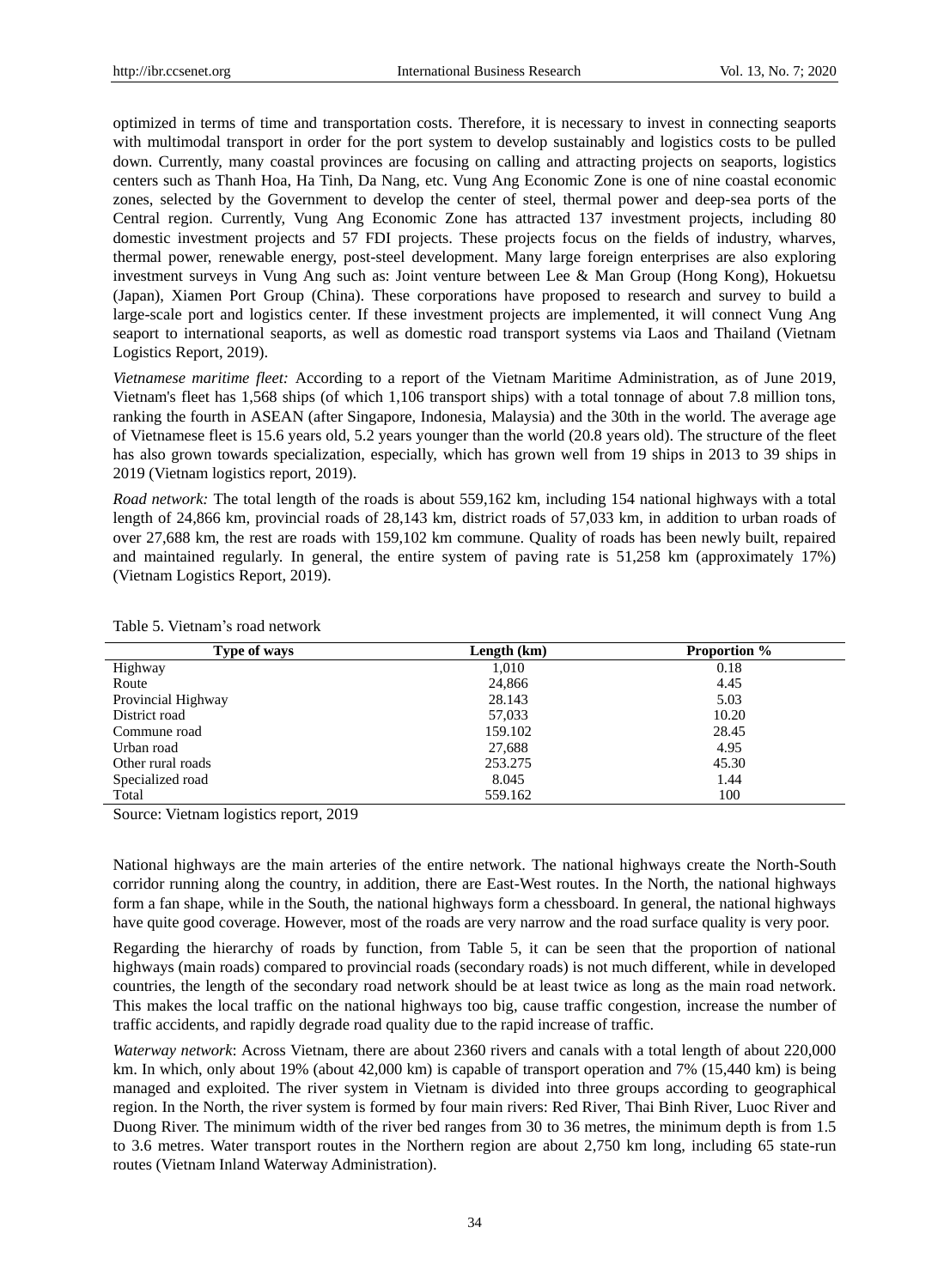optimized in terms of time and transportation costs. Therefore, it is necessary to invest in connecting seaports with multimodal transport in order for the port system to develop sustainably and logistics costs to be pulled down. Currently, many coastal provinces are focusing on calling and attracting projects on seaports, logistics centers such as Thanh Hoa, Ha Tinh, Da Nang, etc. Vung Ang Economic Zone is one of nine coastal economic zones, selected by the Government to develop the center of steel, thermal power and deep-sea ports of the Central region. Currently, Vung Ang Economic Zone has attracted 137 investment projects, including 80 domestic investment projects and 57 FDI projects. These projects focus on the fields of industry, wharves, thermal power, renewable energy, post-steel development. Many large foreign enterprises are also exploring investment surveys in Vung Ang such as: Joint venture between Lee & Man Group (Hong Kong), Hokuetsu (Japan), Xiamen Port Group (China). These corporations have proposed to research and survey to build a large-scale port and logistics center. If these investment projects are implemented, it will connect Vung Ang seaport to international seaports, as well as domestic road transport systems via Laos and Thailand (Vietnam Logistics Report, 2019).

*Vietnamese maritime fleet:* According to a report of the Vietnam Maritime Administration, as of June 2019, Vietnam's fleet has 1,568 ships (of which 1,106 transport ships) with a total tonnage of about 7.8 million tons, ranking the fourth in ASEAN (after Singapore, Indonesia, Malaysia) and the 30th in the world. The average age of Vietnamese fleet is 15.6 years old, 5.2 years younger than the world (20.8 years old). The structure of the fleet has also grown towards specialization, especially, which has grown well from 19 ships in 2013 to 39 ships in 2019 (Vietnam logistics report, 2019).

*Road network:* The total length of the roads is about 559,162 km, including 154 national highways with a total length of 24,866 km, provincial roads of 28,143 km, district roads of 57,033 km, in addition to urban roads of over 27,688 km, the rest are roads with 159,102 km commune. Quality of roads has been newly built, repaired and maintained regularly. In general, the entire system of paving rate is 51,258 km (approximately 17%) (Vietnam Logistics Report, 2019).

| Type of ways       | Length (km) | <b>Proportion</b> % |
|--------------------|-------------|---------------------|
| Highway            | 1,010       | 0.18                |
| Route              | 24,866      | 4.45                |
| Provincial Highway | 28.143      | 5.03                |
| District road      | 57,033      | 10.20               |
| Commune road       | 159.102     | 28.45               |
| Urban road         | 27,688      | 4.95                |
| Other rural roads  | 253.275     | 45.30               |
| Specialized road   | 8.045       | 1.44                |
| Total              | 559.162     | 100                 |

Table 5. Vietnam's road network

Source: Vietnam logistics report, 2019

National highways are the main arteries of the entire network. The national highways create the North-South corridor running along the country, in addition, there are East-West routes. In the North, the national highways form a fan shape, while in the South, the national highways form a chessboard. In general, the national highways have quite good coverage. However, most of the roads are very narrow and the road surface quality is very poor.

Regarding the hierarchy of roads by function, from Table 5, it can be seen that the proportion of national highways (main roads) compared to provincial roads (secondary roads) is not much different, while in developed countries, the length of the secondary road network should be at least twice as long as the main road network. This makes the local traffic on the national highways too big, cause traffic congestion, increase the number of traffic accidents, and rapidly degrade road quality due to the rapid increase of traffic.

*Waterway network*: Across Vietnam, there are about 2360 rivers and canals with a total length of about 220,000 km. In which, only about 19% (about 42,000 km) is capable of transport operation and 7% (15,440 km) is being managed and exploited. The river system in Vietnam is divided into three groups according to geographical region. In the North, the river system is formed by four main rivers: Red River, Thai Binh River, Luoc River and Duong River. The minimum width of the river bed ranges from 30 to 36 metres, the minimum depth is from 1.5 to 3.6 metres. Water transport routes in the Northern region are about 2,750 km long, including 65 state-run routes (Vietnam Inland Waterway Administration).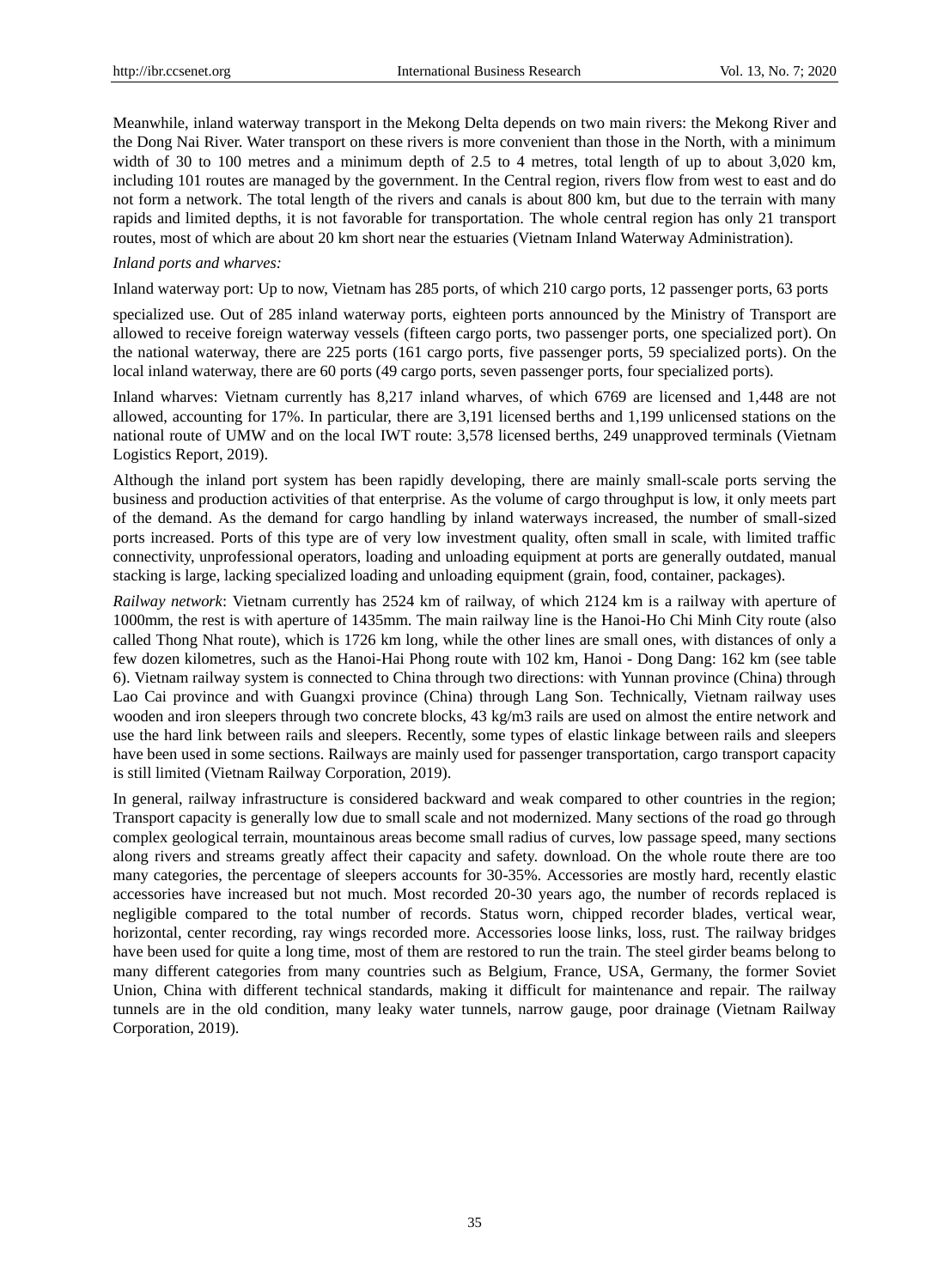Meanwhile, inland waterway transport in the Mekong Delta depends on two main rivers: the Mekong River and the Dong Nai River. Water transport on these rivers is more convenient than those in the North, with a minimum width of 30 to 100 metres and a minimum depth of 2.5 to 4 metres, total length of up to about 3,020 km, including 101 routes are managed by the government. In the Central region, rivers flow from west to east and do not form a network. The total length of the rivers and canals is about 800 km, but due to the terrain with many rapids and limited depths, it is not favorable for transportation. The whole central region has only 21 transport routes, most of which are about 20 km short near the estuaries (Vietnam Inland Waterway Administration).

## *Inland ports and wharves:*

Inland waterway port: Up to now, Vietnam has 285 ports, of which 210 cargo ports, 12 passenger ports, 63 ports

specialized use. Out of 285 inland waterway ports, eighteen ports announced by the Ministry of Transport are allowed to receive foreign waterway vessels (fifteen cargo ports, two passenger ports, one specialized port). On the national waterway, there are 225 ports (161 cargo ports, five passenger ports, 59 specialized ports). On the local inland waterway, there are 60 ports (49 cargo ports, seven passenger ports, four specialized ports).

Inland wharves: Vietnam currently has 8,217 inland wharves, of which 6769 are licensed and 1,448 are not allowed, accounting for 17%. In particular, there are 3,191 licensed berths and 1,199 unlicensed stations on the national route of UMW and on the local IWT route: 3,578 licensed berths, 249 unapproved terminals (Vietnam Logistics Report, 2019).

Although the inland port system has been rapidly developing, there are mainly small-scale ports serving the business and production activities of that enterprise. As the volume of cargo throughput is low, it only meets part of the demand. As the demand for cargo handling by inland waterways increased, the number of small-sized ports increased. Ports of this type are of very low investment quality, often small in scale, with limited traffic connectivity, unprofessional operators, loading and unloading equipment at ports are generally outdated, manual stacking is large, lacking specialized loading and unloading equipment (grain, food, container, packages).

*Railway network*: Vietnam currently has 2524 km of railway, of which 2124 km is a railway with aperture of 1000mm, the rest is with aperture of 1435mm. The main railway line is the Hanoi-Ho Chi Minh City route (also called Thong Nhat route), which is 1726 km long, while the other lines are small ones, with distances of only a few dozen kilometres, such as the Hanoi-Hai Phong route with 102 km, Hanoi - Dong Dang: 162 km (see table 6). Vietnam railway system is connected to China through two directions: with Yunnan province (China) through Lao Cai province and with Guangxi province (China) through Lang Son. Technically, Vietnam railway uses wooden and iron sleepers through two concrete blocks, 43 kg/m3 rails are used on almost the entire network and use the hard link between rails and sleepers. Recently, some types of elastic linkage between rails and sleepers have been used in some sections. Railways are mainly used for passenger transportation, cargo transport capacity is still limited (Vietnam Railway Corporation, 2019).

In general, railway infrastructure is considered backward and weak compared to other countries in the region; Transport capacity is generally low due to small scale and not modernized. Many sections of the road go through complex geological terrain, mountainous areas become small radius of curves, low passage speed, many sections along rivers and streams greatly affect their capacity and safety. download. On the whole route there are too many categories, the percentage of sleepers accounts for 30-35%. Accessories are mostly hard, recently elastic accessories have increased but not much. Most recorded 20-30 years ago, the number of records replaced is negligible compared to the total number of records. Status worn, chipped recorder blades, vertical wear, horizontal, center recording, ray wings recorded more. Accessories loose links, loss, rust. The railway bridges have been used for quite a long time, most of them are restored to run the train. The steel girder beams belong to many different categories from many countries such as Belgium, France, USA, Germany, the former Soviet Union, China with different technical standards, making it difficult for maintenance and repair. The railway tunnels are in the old condition, many leaky water tunnels, narrow gauge, poor drainage (Vietnam Railway Corporation, 2019).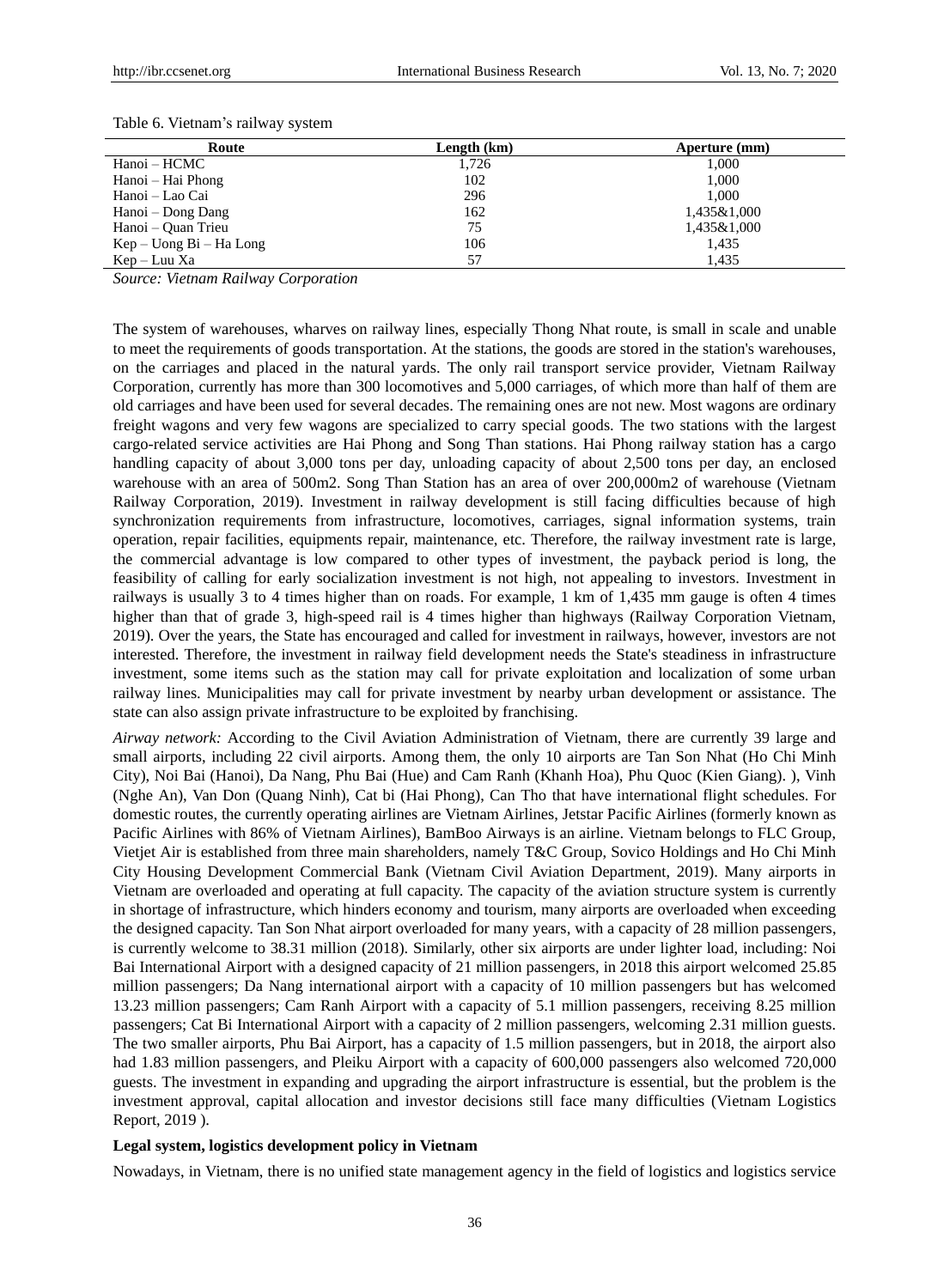| Route                 | Length (km) | Aperture (mm) |
|-----------------------|-------------|---------------|
| Hanoi – HCMC          | 1,726       | 1,000         |
| Hanoi – Hai Phong     | 102         | 1,000         |
| Hanoi – Lao Cai       | 296         | 1.000         |
| Hanoi – Dong Dang     | 162         | 1,435&1,000   |
| Hanoi – Quan Trieu    | 75          | 1,435&1,000   |
| $Kep-Uong Bi-Ha Long$ | 106         | 1,435         |
| Kep – Luu Xa          | 57          | 1.435         |

Table 6. Vietnam's railway system

*Source: Vietnam Railway Corporation*

The system of warehouses, wharves on railway lines, especially Thong Nhat route, is small in scale and unable to meet the requirements of goods transportation. At the stations, the goods are stored in the station's warehouses, on the carriages and placed in the natural yards. The only rail transport service provider, Vietnam Railway Corporation, currently has more than 300 locomotives and 5,000 carriages, of which more than half of them are old carriages and have been used for several decades. The remaining ones are not new. Most wagons are ordinary freight wagons and very few wagons are specialized to carry special goods. The two stations with the largest cargo-related service activities are Hai Phong and Song Than stations. Hai Phong railway station has a cargo handling capacity of about 3,000 tons per day, unloading capacity of about 2,500 tons per day, an enclosed warehouse with an area of 500m2. Song Than Station has an area of over 200,000m2 of warehouse (Vietnam Railway Corporation, 2019). Investment in railway development is still facing difficulties because of high synchronization requirements from infrastructure, locomotives, carriages, signal information systems, train operation, repair facilities, equipments repair, maintenance, etc. Therefore, the railway investment rate is large, the commercial advantage is low compared to other types of investment, the payback period is long, the feasibility of calling for early socialization investment is not high, not appealing to investors. Investment in railways is usually 3 to 4 times higher than on roads. For example, 1 km of 1,435 mm gauge is often 4 times higher than that of grade 3, high-speed rail is 4 times higher than highways (Railway Corporation Vietnam, 2019). Over the years, the State has encouraged and called for investment in railways, however, investors are not interested. Therefore, the investment in railway field development needs the State's steadiness in infrastructure investment, some items such as the station may call for private exploitation and localization of some urban railway lines. Municipalities may call for private investment by nearby urban development or assistance. The state can also assign private infrastructure to be exploited by franchising.

*Airway network:* According to the Civil Aviation Administration of Vietnam, there are currently 39 large and small airports, including 22 civil airports. Among them, the only 10 airports are Tan Son Nhat (Ho Chi Minh City), Noi Bai (Hanoi), Da Nang, Phu Bai (Hue) and Cam Ranh (Khanh Hoa), Phu Quoc (Kien Giang). ), Vinh (Nghe An), Van Don (Quang Ninh), Cat bi (Hai Phong), Can Tho that have international flight schedules. For domestic routes, the currently operating airlines are Vietnam Airlines, Jetstar Pacific Airlines (formerly known as Pacific Airlines with 86% of Vietnam Airlines), BamBoo Airways is an airline. Vietnam belongs to FLC Group, Vietjet Air is established from three main shareholders, namely T&C Group, Sovico Holdings and Ho Chi Minh City Housing Development Commercial Bank (Vietnam Civil Aviation Department, 2019). Many airports in Vietnam are overloaded and operating at full capacity. The capacity of the aviation structure system is currently in shortage of infrastructure, which hinders economy and tourism, many airports are overloaded when exceeding the designed capacity. Tan Son Nhat airport overloaded for many years, with a capacity of 28 million passengers, is currently welcome to 38.31 million (2018). Similarly, other six airports are under lighter load, including: Noi Bai International Airport with a designed capacity of 21 million passengers, in 2018 this airport welcomed 25.85 million passengers; Da Nang international airport with a capacity of 10 million passengers but has welcomed 13.23 million passengers; Cam Ranh Airport with a capacity of 5.1 million passengers, receiving 8.25 million passengers; Cat Bi International Airport with a capacity of 2 million passengers, welcoming 2.31 million guests. The two smaller airports, Phu Bai Airport, has a capacity of 1.5 million passengers, but in 2018, the airport also had 1.83 million passengers, and Pleiku Airport with a capacity of 600,000 passengers also welcomed 720,000 guests. The investment in expanding and upgrading the airport infrastructure is essential, but the problem is the investment approval, capital allocation and investor decisions still face many difficulties (Vietnam Logistics Report, 2019 ).

#### **Legal system, logistics development policy in Vietnam**

Nowadays, in Vietnam, there is no unified state management agency in the field of logistics and logistics service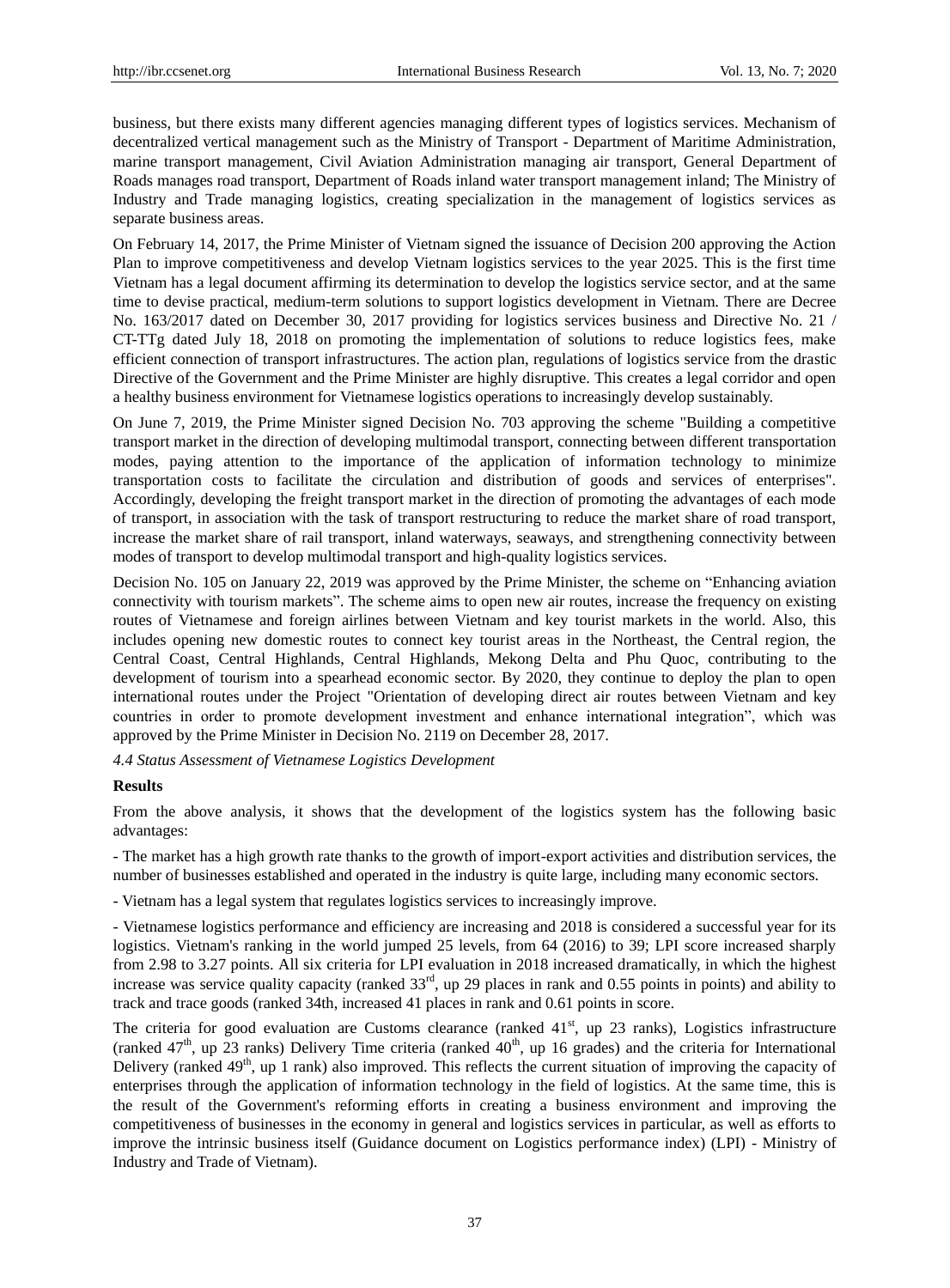business, but there exists many different agencies managing different types of logistics services. Mechanism of decentralized vertical management such as the Ministry of Transport - Department of Maritime Administration, marine transport management, Civil Aviation Administration managing air transport, General Department of Roads manages road transport, Department of Roads inland water transport management inland; The Ministry of Industry and Trade managing logistics, creating specialization in the management of logistics services as separate business areas.

On February 14, 2017, the Prime Minister of Vietnam signed the issuance of Decision 200 approving the Action Plan to improve competitiveness and develop Vietnam logistics services to the year 2025. This is the first time Vietnam has a legal document affirming its determination to develop the logistics service sector, and at the same time to devise practical, medium-term solutions to support logistics development in Vietnam. There are Decree No. 163/2017 dated on December 30, 2017 providing for logistics services business and Directive No. 21 / CT-TTg dated July 18, 2018 on promoting the implementation of solutions to reduce logistics fees, make efficient connection of transport infrastructures. The action plan, regulations of logistics service from the drastic Directive of the Government and the Prime Minister are highly disruptive. This creates a legal corridor and open a healthy business environment for Vietnamese logistics operations to increasingly develop sustainably.

On June 7, 2019, the Prime Minister signed Decision No. 703 approving the scheme "Building a competitive transport market in the direction of developing multimodal transport, connecting between different transportation modes, paying attention to the importance of the application of information technology to minimize transportation costs to facilitate the circulation and distribution of goods and services of enterprises". Accordingly, developing the freight transport market in the direction of promoting the advantages of each mode of transport, in association with the task of transport restructuring to reduce the market share of road transport, increase the market share of rail transport, inland waterways, seaways, and strengthening connectivity between modes of transport to develop multimodal transport and high-quality logistics services.

Decision No. 105 on January 22, 2019 was approved by the Prime Minister, the scheme on "Enhancing aviation" connectivity with tourism markets". The scheme aims to open new air routes, increase the frequency on existing routes of Vietnamese and foreign airlines between Vietnam and key tourist markets in the world. Also, this includes opening new domestic routes to connect key tourist areas in the Northeast, the Central region, the Central Coast, Central Highlands, Central Highlands, Mekong Delta and Phu Quoc, contributing to the development of tourism into a spearhead economic sector. By 2020, they continue to deploy the plan to open international routes under the Project "Orientation of developing direct air routes between Vietnam and key countries in order to promote development investment and enhance international integration", which was approved by the Prime Minister in Decision No. 2119 on December 28, 2017.

*4.4 Status Assessment of Vietnamese Logistics Development*

## **Results**

From the above analysis, it shows that the development of the logistics system has the following basic advantages:

- The market has a high growth rate thanks to the growth of import-export activities and distribution services, the number of businesses established and operated in the industry is quite large, including many economic sectors.

- Vietnam has a legal system that regulates logistics services to increasingly improve.

- Vietnamese logistics performance and efficiency are increasing and 2018 is considered a successful year for its logistics. Vietnam's ranking in the world jumped 25 levels, from 64 (2016) to 39; LPI score increased sharply from 2.98 to 3.27 points. All six criteria for LPI evaluation in 2018 increased dramatically, in which the highest increase was service quality capacity (ranked  $33<sup>rd</sup>$ , up 29 places in rank and 0.55 points in points) and ability to track and trace goods (ranked 34th, increased 41 places in rank and 0.61 points in score.

The criteria for good evaluation are Customs clearance (ranked  $41<sup>st</sup>$ , up 23 ranks), Logistics infrastructure (ranked  $47<sup>th</sup>$ , up 23 ranks) Delivery Time criteria (ranked  $40<sup>th</sup>$ , up 16 grades) and the criteria for International Delivery (ranked 49<sup>th</sup>, up 1 rank) also improved. This reflects the current situation of improving the capacity of enterprises through the application of information technology in the field of logistics. At the same time, this is the result of the Government's reforming efforts in creating a business environment and improving the competitiveness of businesses in the economy in general and logistics services in particular, as well as efforts to improve the intrinsic business itself (Guidance document on Logistics performance index) (LPI) - Ministry of Industry and Trade of Vietnam).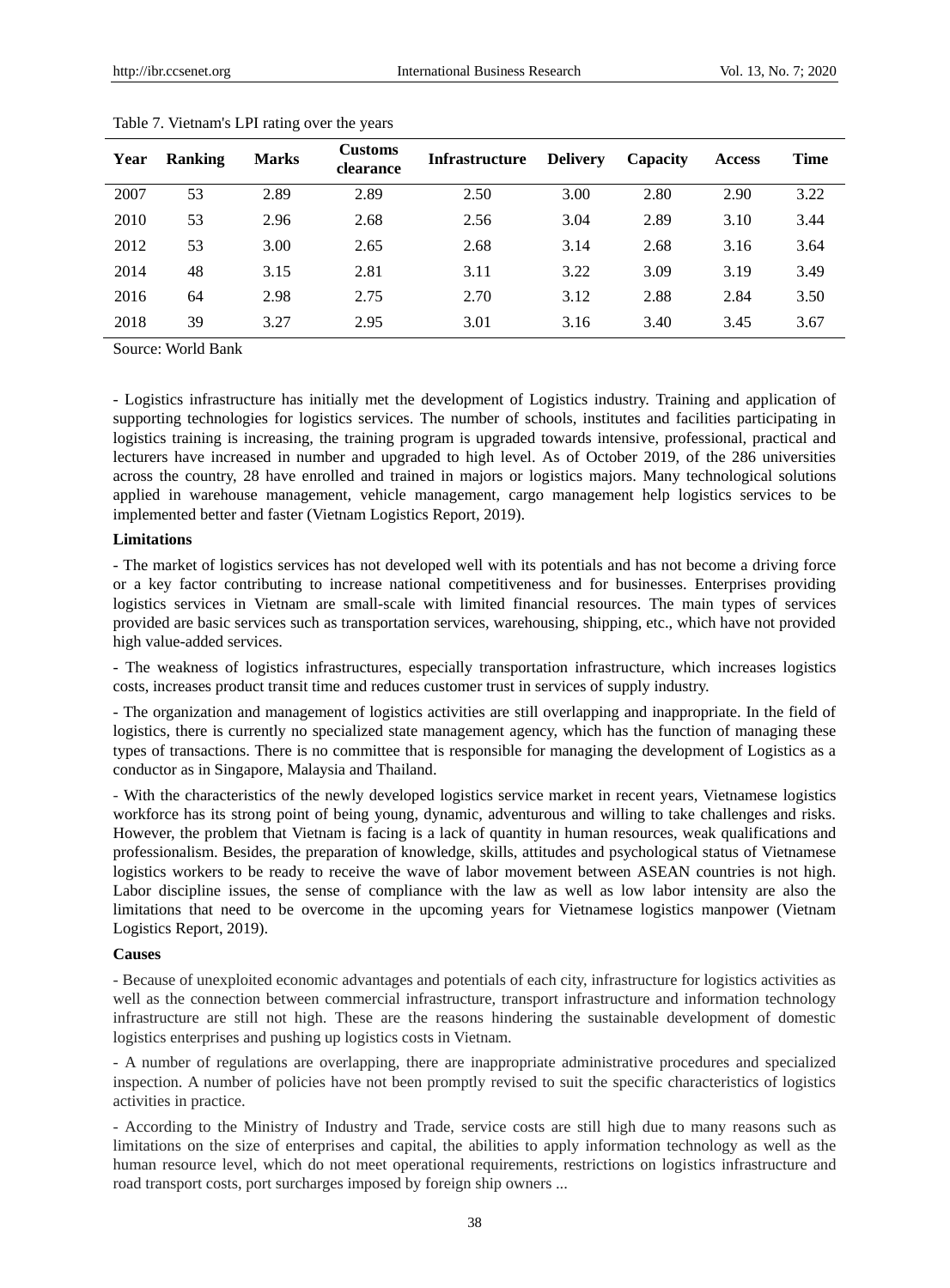| Year | <b>Ranking</b> | <b>Marks</b> | <b>Customs</b><br>clearance | <b>Infrastructure</b> | <b>Delivery</b> | Capacity | <b>Access</b> | <b>Time</b> |
|------|----------------|--------------|-----------------------------|-----------------------|-----------------|----------|---------------|-------------|
| 2007 | 53             | 2.89         | 2.89                        | 2.50                  | 3.00            | 2.80     | 2.90          | 3.22        |
| 2010 | 53             | 2.96         | 2.68                        | 2.56                  | 3.04            | 2.89     | 3.10          | 3.44        |
| 2012 | 53             | 3.00         | 2.65                        | 2.68                  | 3.14            | 2.68     | 3.16          | 3.64        |
| 2014 | 48             | 3.15         | 2.81                        | 3.11                  | 3.22            | 3.09     | 3.19          | 3.49        |
| 2016 | 64             | 2.98         | 2.75                        | 2.70                  | 3.12            | 2.88     | 2.84          | 3.50        |
| 2018 | 39             | 3.27         | 2.95                        | 3.01                  | 3.16            | 3.40     | 3.45          | 3.67        |

|  | Table 7. Vietnam's LPI rating over the years |  |  |  |  |  |
|--|----------------------------------------------|--|--|--|--|--|
|--|----------------------------------------------|--|--|--|--|--|

Source: World Bank

- Logistics infrastructure has initially met the development of Logistics industry. Training and application of supporting technologies for logistics services. The number of schools, institutes and facilities participating in logistics training is increasing, the training program is upgraded towards intensive, professional, practical and lecturers have increased in number and upgraded to high level. As of October 2019, of the 286 universities across the country, 28 have enrolled and trained in majors or logistics majors. Many technological solutions applied in warehouse management, vehicle management, cargo management help logistics services to be implemented better and faster (Vietnam Logistics Report, 2019).

#### **Limitations**

- The market of logistics services has not developed well with its potentials and has not become a driving force or a key factor contributing to increase national competitiveness and for businesses. Enterprises providing logistics services in Vietnam are small-scale with limited financial resources. The main types of services provided are basic services such as transportation services, warehousing, shipping, etc., which have not provided high value-added services.

- The weakness of logistics infrastructures, especially transportation infrastructure, which increases logistics costs, increases product transit time and reduces customer trust in services of supply industry.

- The organization and management of logistics activities are still overlapping and inappropriate. In the field of logistics, there is currently no specialized state management agency, which has the function of managing these types of transactions. There is no committee that is responsible for managing the development of Logistics as a conductor as in Singapore, Malaysia and Thailand.

- With the characteristics of the newly developed logistics service market in recent years, Vietnamese logistics workforce has its strong point of being young, dynamic, adventurous and willing to take challenges and risks. However, the problem that Vietnam is facing is a lack of quantity in human resources, weak qualifications and professionalism. Besides, the preparation of knowledge, skills, attitudes and psychological status of Vietnamese logistics workers to be ready to receive the wave of labor movement between ASEAN countries is not high. Labor discipline issues, the sense of compliance with the law as well as low labor intensity are also the limitations that need to be overcome in the upcoming years for Vietnamese logistics manpower (Vietnam Logistics Report, 2019).

## **Causes**

- Because of unexploited economic advantages and potentials of each city, infrastructure for logistics activities as well as the connection between commercial infrastructure, transport infrastructure and information technology infrastructure are still not high. These are the reasons hindering the sustainable development of domestic logistics enterprises and pushing up logistics costs in Vietnam.

- A number of regulations are overlapping, there are inappropriate administrative procedures and specialized inspection. A number of policies have not been promptly revised to suit the specific characteristics of logistics activities in practice.

- According to the Ministry of Industry and Trade, service costs are still high due to many reasons such as limitations on the size of enterprises and capital, the abilities to apply information technology as well as the human resource level, which do not meet operational requirements, restrictions on logistics infrastructure and road transport costs, port surcharges imposed by foreign ship owners ...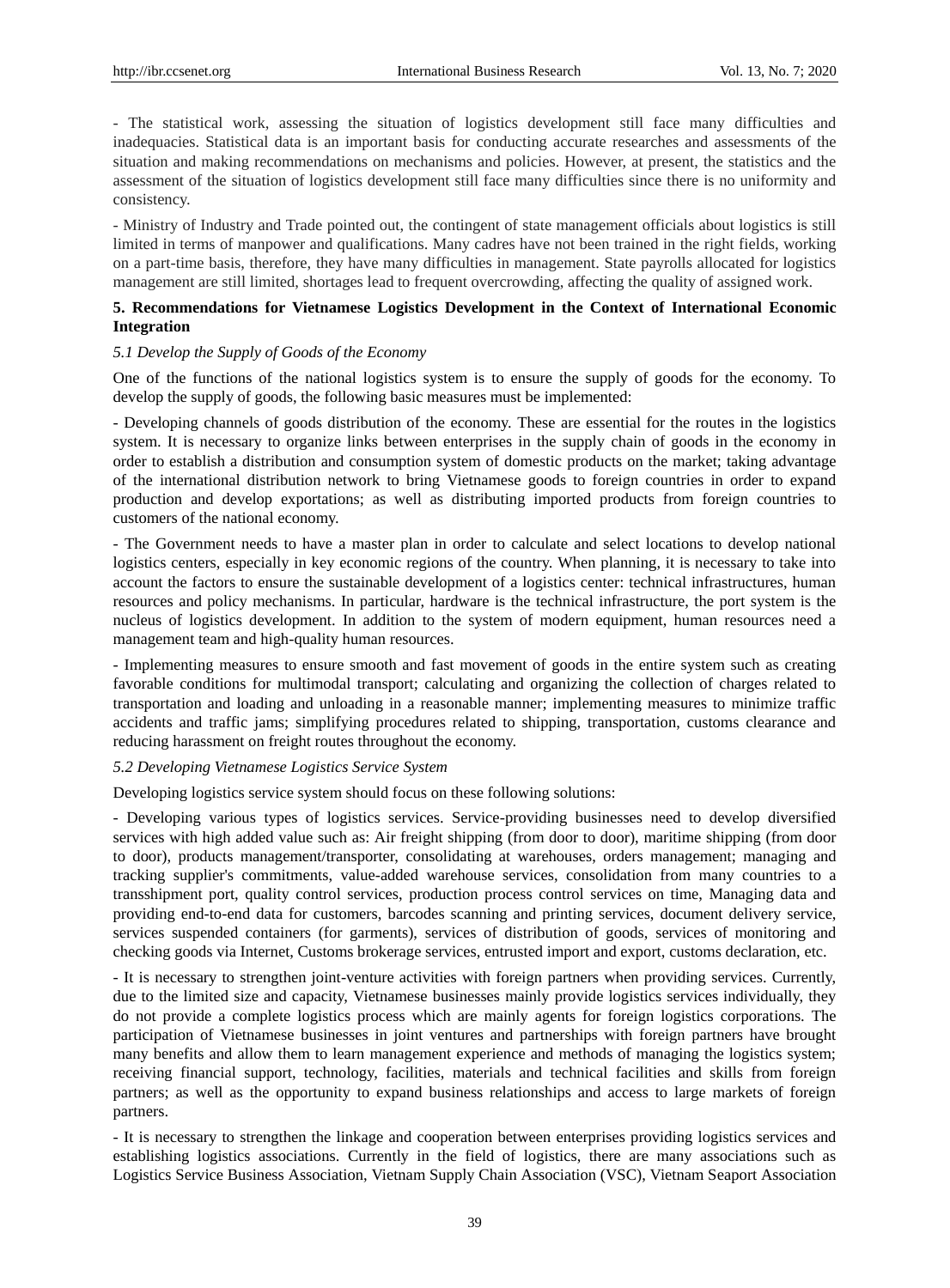- The statistical work, assessing the situation of logistics development still face many difficulties and inadequacies. Statistical data is an important basis for conducting accurate researches and assessments of the situation and making recommendations on mechanisms and policies. However, at present, the statistics and the assessment of the situation of logistics development still face many difficulties since there is no uniformity and consistency.

- Ministry of Industry and Trade pointed out, the contingent of state management officials about logistics is still limited in terms of manpower and qualifications. Many cadres have not been trained in the right fields, working on a part-time basis, therefore, they have many difficulties in management. State payrolls allocated for logistics management are still limited, shortages lead to frequent overcrowding, affecting the quality of assigned work.

## **5. Recommendations for Vietnamese Logistics Development in the Context of International Economic Integration**

## *5.1 Develop the Supply of Goods of the Economy*

One of the functions of the national logistics system is to ensure the supply of goods for the economy. To develop the supply of goods, the following basic measures must be implemented:

- Developing channels of goods distribution of the economy. These are essential for the routes in the logistics system. It is necessary to organize links between enterprises in the supply chain of goods in the economy in order to establish a distribution and consumption system of domestic products on the market; taking advantage of the international distribution network to bring Vietnamese goods to foreign countries in order to expand production and develop exportations; as well as distributing imported products from foreign countries to customers of the national economy.

- The Government needs to have a master plan in order to calculate and select locations to develop national logistics centers, especially in key economic regions of the country. When planning, it is necessary to take into account the factors to ensure the sustainable development of a logistics center: technical infrastructures, human resources and policy mechanisms. In particular, hardware is the technical infrastructure, the port system is the nucleus of logistics development. In addition to the system of modern equipment, human resources need a management team and high-quality human resources.

- Implementing measures to ensure smooth and fast movement of goods in the entire system such as creating favorable conditions for multimodal transport; calculating and organizing the collection of charges related to transportation and loading and unloading in a reasonable manner; implementing measures to minimize traffic accidents and traffic jams; simplifying procedures related to shipping, transportation, customs clearance and reducing harassment on freight routes throughout the economy.

## *5.2 Developing Vietnamese Logistics Service System*

Developing logistics service system should focus on these following solutions:

- Developing various types of logistics services. Service-providing businesses need to develop diversified services with high added value such as: Air freight shipping (from door to door), maritime shipping (from door to door), products management/transporter, consolidating at warehouses, orders management; managing and tracking supplier's commitments, value-added warehouse services, consolidation from many countries to a transshipment port, quality control services, production process control services on time, Managing data and providing end-to-end data for customers, barcodes scanning and printing services, document delivery service, services suspended containers (for garments), services of distribution of goods, services of monitoring and checking goods via Internet, Customs brokerage services, entrusted import and export, customs declaration, etc.

- It is necessary to strengthen joint-venture activities with foreign partners when providing services. Currently, due to the limited size and capacity, Vietnamese businesses mainly provide logistics services individually, they do not provide a complete logistics process which are mainly agents for foreign logistics corporations. The participation of Vietnamese businesses in joint ventures and partnerships with foreign partners have brought many benefits and allow them to learn management experience and methods of managing the logistics system; receiving financial support, technology, facilities, materials and technical facilities and skills from foreign partners; as well as the opportunity to expand business relationships and access to large markets of foreign partners.

- It is necessary to strengthen the linkage and cooperation between enterprises providing logistics services and establishing logistics associations. Currently in the field of logistics, there are many associations such as Logistics Service Business Association, Vietnam Supply Chain Association (VSC), Vietnam Seaport Association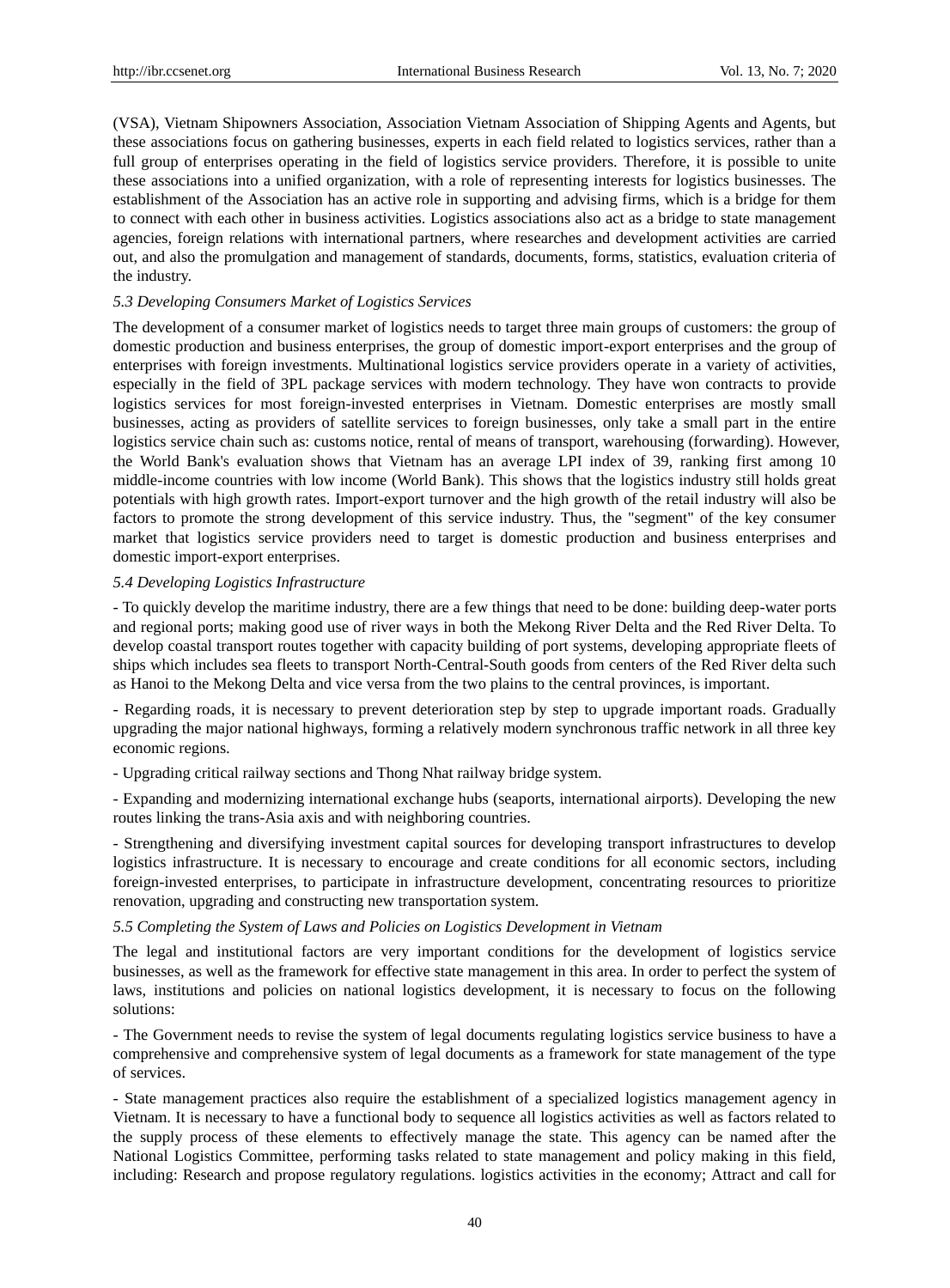(VSA), Vietnam Shipowners Association, Association Vietnam Association of Shipping Agents and Agents, but these associations focus on gathering businesses, experts in each field related to logistics services, rather than a full group of enterprises operating in the field of logistics service providers. Therefore, it is possible to unite these associations into a unified organization, with a role of representing interests for logistics businesses. The establishment of the Association has an active role in supporting and advising firms, which is a bridge for them to connect with each other in business activities. Logistics associations also act as a bridge to state management agencies, foreign relations with international partners, where researches and development activities are carried out, and also the promulgation and management of standards, documents, forms, statistics, evaluation criteria of the industry.

## *5.3 Developing Consumers Market of Logistics Services*

The development of a consumer market of logistics needs to target three main groups of customers: the group of domestic production and business enterprises, the group of domestic import-export enterprises and the group of enterprises with foreign investments. Multinational logistics service providers operate in a variety of activities, especially in the field of 3PL package services with modern technology. They have won contracts to provide logistics services for most foreign-invested enterprises in Vietnam. Domestic enterprises are mostly small businesses, acting as providers of satellite services to foreign businesses, only take a small part in the entire logistics service chain such as: customs notice, rental of means of transport, warehousing (forwarding). However, the World Bank's evaluation shows that Vietnam has an average LPI index of 39, ranking first among 10 middle-income countries with low income (World Bank). This shows that the logistics industry still holds great potentials with high growth rates. Import-export turnover and the high growth of the retail industry will also be factors to promote the strong development of this service industry. Thus, the "segment" of the key consumer market that logistics service providers need to target is domestic production and business enterprises and domestic import-export enterprises.

#### *5.4 Developing Logistics Infrastructure*

- To quickly develop the maritime industry, there are a few things that need to be done: building deep-water ports and regional ports; making good use of river ways in both the Mekong River Delta and the Red River Delta. To develop coastal transport routes together with capacity building of port systems, developing appropriate fleets of ships which includes sea fleets to transport North-Central-South goods from centers of the Red River delta such as Hanoi to the Mekong Delta and vice versa from the two plains to the central provinces, is important.

- Regarding roads, it is necessary to prevent deterioration step by step to upgrade important roads. Gradually upgrading the major national highways, forming a relatively modern synchronous traffic network in all three key economic regions.

- Upgrading critical railway sections and Thong Nhat railway bridge system.

- Expanding and modernizing international exchange hubs (seaports, international airports). Developing the new routes linking the trans-Asia axis and with neighboring countries.

- Strengthening and diversifying investment capital sources for developing transport infrastructures to develop logistics infrastructure. It is necessary to encourage and create conditions for all economic sectors, including foreign-invested enterprises, to participate in infrastructure development, concentrating resources to prioritize renovation, upgrading and constructing new transportation system.

#### *5.5 Completing the System of Laws and Policies on Logistics Development in Vietnam*

The legal and institutional factors are very important conditions for the development of logistics service businesses, as well as the framework for effective state management in this area. In order to perfect the system of laws, institutions and policies on national logistics development, it is necessary to focus on the following solutions:

- The Government needs to revise the system of legal documents regulating logistics service business to have a comprehensive and comprehensive system of legal documents as a framework for state management of the type of services.

- State management practices also require the establishment of a specialized logistics management agency in Vietnam. It is necessary to have a functional body to sequence all logistics activities as well as factors related to the supply process of these elements to effectively manage the state. This agency can be named after the National Logistics Committee, performing tasks related to state management and policy making in this field, including: Research and propose regulatory regulations. logistics activities in the economy; Attract and call for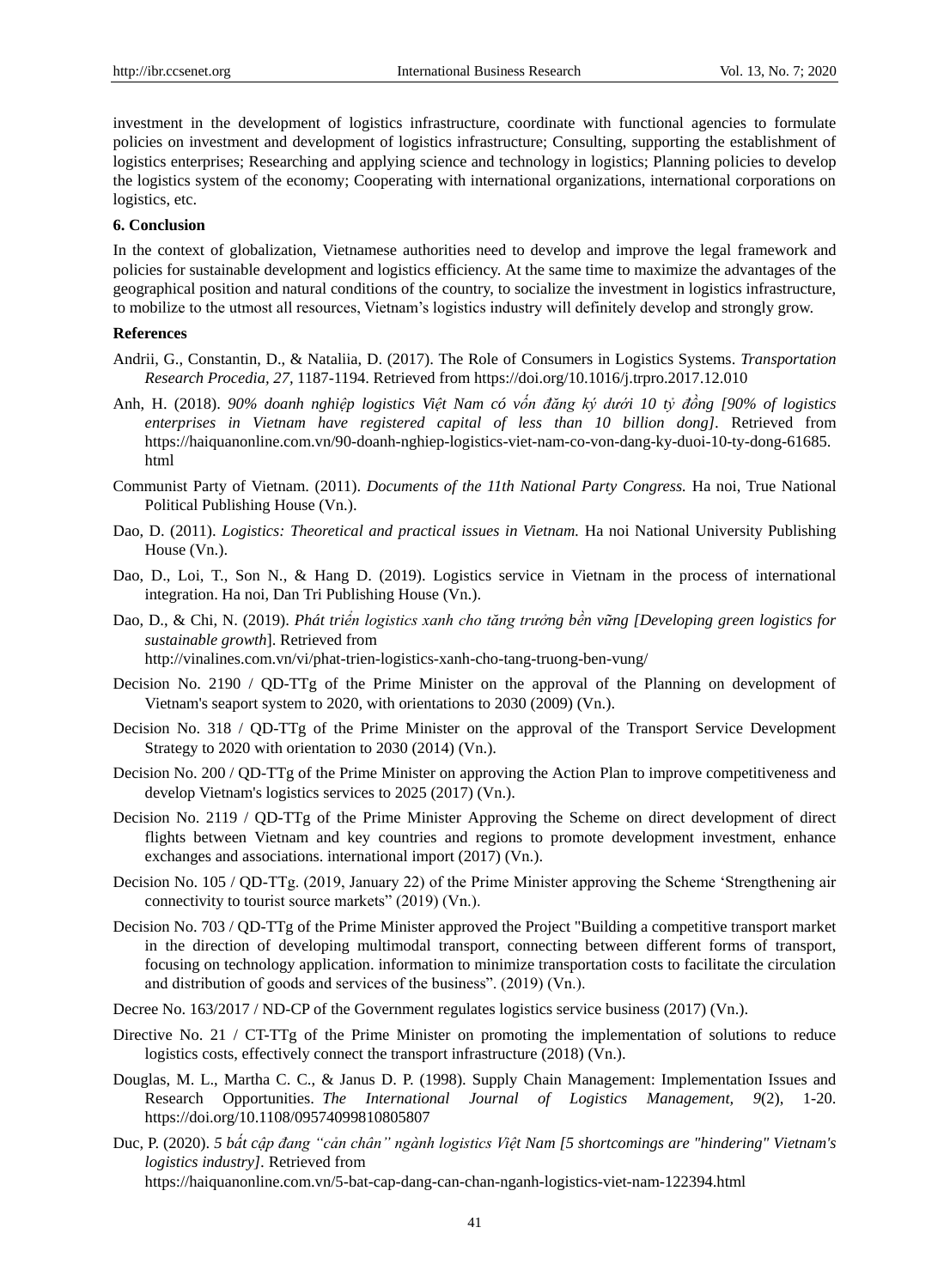investment in the development of logistics infrastructure, coordinate with functional agencies to formulate policies on investment and development of logistics infrastructure; Consulting, supporting the establishment of logistics enterprises; Researching and applying science and technology in logistics; Planning policies to develop the logistics system of the economy; Cooperating with international organizations, international corporations on logistics, etc.

## **6. Conclusion**

In the context of globalization, Vietnamese authorities need to develop and improve the legal framework and policies for sustainable development and logistics efficiency. At the same time to maximize the advantages of the geographical position and natural conditions of the country, to socialize the investment in logistics infrastructure, to mobilize to the utmost all resources, Vietnam's logistics industry will definitely develop and strongly grow.

## **References**

- Andrii, G., Constantin, D., & Nataliia, D. (2017). The Role of Consumers in Logistics Systems. *Transportation Research Procedia, 27,* 1187-1194. Retrieved from<https://doi.org/10.1016/j.trpro.2017.12.010>
- Anh, H. (2018). *90% doanh nghiệp logistics Việt Nam có vốn đăng ký dưới 10 tỷ đồng [90% of logistics enterprises in Vietnam have registered capital of less than 10 billion dong].* Retrieved from https://haiquanonline.com.vn/90-doanh-nghiep-logistics-viet-nam-co-von-dang-ky-duoi-10-ty-dong-61685. html
- Communist Party of Vietnam. (2011). *Documents of the 11th National Party Congress.* Ha noi, True National Political Publishing House (Vn.).
- Dao, D. (2011). *Logistics: Theoretical and practical issues in Vietnam.* Ha noi National University Publishing House (Vn.).
- Dao, D., Loi, T., Son N., & Hang D. (2019). Logistics service in Vietnam in the process of international integration. Ha noi, Dan Tri Publishing House (Vn.).
- Dao, D., & Chi, N. (2019). *Phát triển logistics xanh cho tăng trưởng bền vững [Developing green logistics for sustainable growth*]. Retrieved from <http://vinalines.com.vn/vi/phat-trien-logistics-xanh-cho-tang-truong-ben-vung/>
- Decision No. 2190 / QD-TTg of the Prime Minister on the approval of the Planning on development of Vietnam's seaport system to 2020, with orientations to 2030 (2009) (Vn.).
- Decision No. 318 / QD-TTg of the Prime Minister on the approval of the Transport Service Development Strategy to 2020 with orientation to 2030 (2014) (Vn.).
- Decision No. 200 / QD-TTg of the Prime Minister on approving the Action Plan to improve competitiveness and develop Vietnam's logistics services to 2025 (2017) (Vn.).
- Decision No. 2119 / QD-TTg of the Prime Minister Approving the Scheme on direct development of direct flights between Vietnam and key countries and regions to promote development investment, enhance exchanges and associations. international import (2017) (Vn.).
- Decision No. 105 / QD-TTg. (2019, January 22) of the Prime Minister approving the Scheme 'Strengthening air connectivity to tourist source markets"  $(2019)$  (Vn.).
- Decision No. 703 / QD-TTg of the Prime Minister approved the Project "Building a competitive transport market in the direction of developing multimodal transport, connecting between different forms of transport, focusing on technology application. information to minimize transportation costs to facilitate the circulation and distribution of goods and services of the business".  $(2019)$  (Vn.).
- Decree No. 163/2017 / ND-CP of the Government regulates logistics service business (2017) (Vn.).
- Directive No. 21 / CT-TTg of the Prime Minister on promoting the implementation of solutions to reduce logistics costs, effectively connect the transport infrastructure (2018) (Vn.).
- Douglas, M. L., Martha C. C., & Janus D. P. (1998). Supply Chain Management: Implementation Issues and Research Opportunities. *The International Journal of Logistics Management, 9*(2), 1-20. https://doi.org/10.1108/09574099810805807
- Duc, P. (2020). *5 bất cập đang "cản chân" ngành logistics Việt Nam [5 shortcomings are "hindering" Vietnam's logistics industry].* Retrieved from <https://haiquanonline.com.vn/5-bat-cap-dang-can-chan-nganh-logistics-viet-nam-122394.html>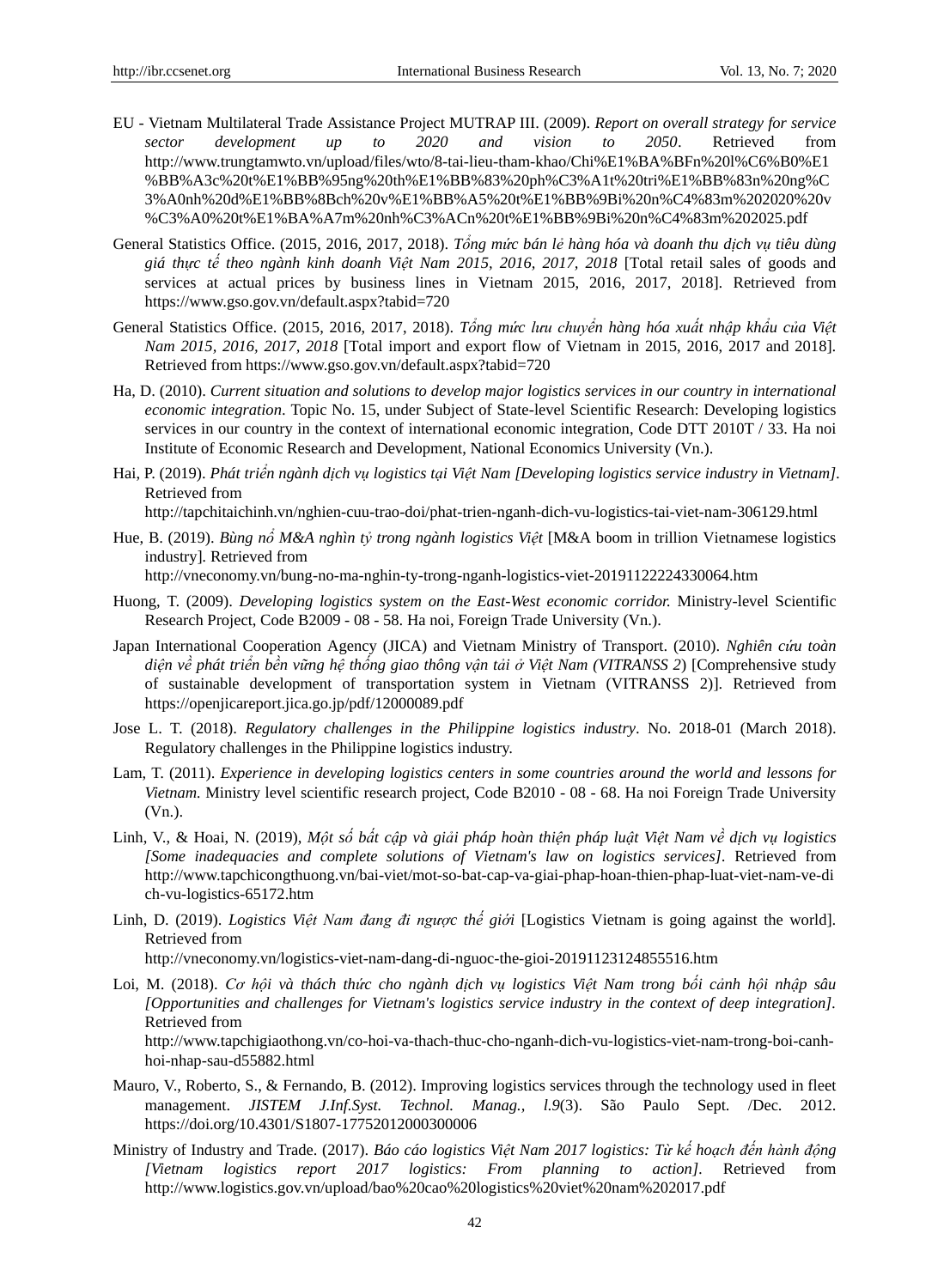- EU Vietnam Multilateral Trade Assistance Project MUTRAP III. (2009). *Report on overall strategy for service sector development up to 2020 and vision to 2050*. Retrieved from [http://www.trungtamwto.vn/upload/files/wto/8-tai-lieu-tham-khao/Chi%E1%BA%BFn%20l%C6%B0%E1](http://www.trungtamwto.vn/upload/files/wto/8-tai-lieu-tham-khao/Chi%E1%BA%BFn%20l%C6%B0%E1%BB%A3c%20t%E1%BB%95ng%20th%E1%BB%83%20ph%C3%A1t%20tri%E1%BB%83n%20ng%C3%A0nh%20d%E1%BB%8Bch%20v%E1%BB%A5%20t%E1%BB%9Bi%20n%C4%83m%202020%20v%C3%A0%20t%E1%BA%A7m%20nh%C3%ACn%20t%E1%BB%9Bi%20n%C4%83m%202025.pdf) [%BB%A3c%20t%E1%BB%95ng%20th%E1%BB%83%20ph%C3%A1t%20tri%E1%BB%83n%20ng%C](http://www.trungtamwto.vn/upload/files/wto/8-tai-lieu-tham-khao/Chi%E1%BA%BFn%20l%C6%B0%E1%BB%A3c%20t%E1%BB%95ng%20th%E1%BB%83%20ph%C3%A1t%20tri%E1%BB%83n%20ng%C3%A0nh%20d%E1%BB%8Bch%20v%E1%BB%A5%20t%E1%BB%9Bi%20n%C4%83m%202020%20v%C3%A0%20t%E1%BA%A7m%20nh%C3%ACn%20t%E1%BB%9Bi%20n%C4%83m%202025.pdf) [3%A0nh%20d%E1%BB%8Bch%20v%E1%BB%A5%20t%E1%BB%9Bi%20n%C4%83m%202020%20v](http://www.trungtamwto.vn/upload/files/wto/8-tai-lieu-tham-khao/Chi%E1%BA%BFn%20l%C6%B0%E1%BB%A3c%20t%E1%BB%95ng%20th%E1%BB%83%20ph%C3%A1t%20tri%E1%BB%83n%20ng%C3%A0nh%20d%E1%BB%8Bch%20v%E1%BB%A5%20t%E1%BB%9Bi%20n%C4%83m%202020%20v%C3%A0%20t%E1%BA%A7m%20nh%C3%ACn%20t%E1%BB%9Bi%20n%C4%83m%202025.pdf) [%C3%A0%20t%E1%BA%A7m%20nh%C3%ACn%20t%E1%BB%9Bi%20n%C4%83m%202025.pdf](http://www.trungtamwto.vn/upload/files/wto/8-tai-lieu-tham-khao/Chi%E1%BA%BFn%20l%C6%B0%E1%BB%A3c%20t%E1%BB%95ng%20th%E1%BB%83%20ph%C3%A1t%20tri%E1%BB%83n%20ng%C3%A0nh%20d%E1%BB%8Bch%20v%E1%BB%A5%20t%E1%BB%9Bi%20n%C4%83m%202020%20v%C3%A0%20t%E1%BA%A7m%20nh%C3%ACn%20t%E1%BB%9Bi%20n%C4%83m%202025.pdf)
- General Statistics Office. (2015, 2016, 2017, 2018). *Tổng mức bán lẻ hàng hóa và doanh thu dịch vụ tiêu dùng giá thực tế theo ngành kinh doanh Việt Nam 2015, 2016, 2017, 2018* [Total retail sales of goods and services at actual prices by business lines in Vietnam 2015, 2016, 2017, 2018]*.* Retrieved from <https://www.gso.gov.vn/default.aspx?tabid=720>
- General Statistics Office. (2015, 2016, 2017, 2018). *Tổng mức lưu chuyển hàng hóa xuất nhập khẩu của Việt Nam 2015, 2016, 2017, 2018* [Total import and export flow of Vietnam in 2015, 2016, 2017 and 2018]*.* Retrieved from https://www.gso.gov.vn/default.aspx?tabid=720
- Ha, D. (2010). *Current situation and solutions to develop major logistics services in our country in international economic integration*. Topic No. 15, under Subject of State-level Scientific Research: Developing logistics services in our country in the context of international economic integration, Code DTT 2010T / 33. Ha noi Institute of Economic Research and Development, National Economics University (Vn.).
- Hai, P. (2019). *Phát triển ngành dịch vụ logistics tại Việt Nam [Developing logistics service industry in Vietnam].* Retrieved from

http://tapchitaichinh.vn/nghien-cuu-trao-doi/phat-trien-nganh-dich-vu-logistics-tai-viet-nam-306129.html

Hue, B. (2019). *Bùng nổ M&A nghìn tỷ trong ngành logistics Việt* [M&A boom in trillion Vietnamese logistics industry]*.* Retrieved from

<http://vneconomy.vn/bung-no-ma-nghin-ty-trong-nganh-logistics-viet-20191122224330064.htm>

- Huong, T. (2009). *Developing logistics system on the East-West economic corridor.* Ministry-level Scientific Research Project, Code B2009 - 08 - 58. Ha noi, Foreign Trade University (Vn.).
- Japan International Cooperation Agency (JICA) and Vietnam Ministry of Transport. (2010). *Nghiên cứu toàn diện về phát triển bền vững hệ thống giao thông vận tải ở Việt Nam (VITRANSS 2*) [Comprehensive study of sustainable development of transportation system in Vietnam (VITRANSS 2)]. Retrieved from <https://openjicareport.jica.go.jp/pdf/12000089.pdf>
- Jose L. T. (2018). *Regulatory challenges in the Philippine logistics industry*. No. 2018-01 (March 2018). Regulatory challenges in the Philippine logistics industry.
- Lam, T. (2011). *Experience in developing logistics centers in some countries around the world and lessons for Vietnam.* Ministry level scientific research project, Code B2010 - 08 - 68. Ha noi Foreign Trade University (Vn.).
- Linh, V., & Hoai, N. (2019), *Một số bất cập và giải pháp hoàn thiện pháp luật Việt Nam về dịch vụ logistics [Some inadequacies and complete solutions of Vietnam's law on logistics services].* Retrieved from [http://www.tapchicongthuong.vn/bai-viet/mot-so-bat-cap-va-giai-phap-hoan-thien-phap-luat-viet-nam-ve-di](http://www.tapchicongthuong.vn/bai-viet/mot-so-bat-cap-va-giai-phap-hoan-thien-phap-luat-viet-nam-ve-dich-vu-logistics-65172.htm) [ch-vu-logistics-65172.htm](http://www.tapchicongthuong.vn/bai-viet/mot-so-bat-cap-va-giai-phap-hoan-thien-phap-luat-viet-nam-ve-dich-vu-logistics-65172.htm)
- Linh, D. (2019). *Logistics Việt Nam đang đi ngược thế giới* [Logistics Vietnam is going against the world]*.* Retrieved from

<http://vneconomy.vn/logistics-viet-nam-dang-di-nguoc-the-gioi-20191123124855516.htm>

Loi, M. (2018). *Cơ hội và thách thức cho ngành dịch vụ logistics Việt Nam trong bối cảnh hội nhập sâu [Opportunities and challenges for Vietnam's logistics service industry in the context of deep integration].*  Retrieved from

http://www.tapchigiaothong.vn/co-hoi-va-thach-thuc-cho-nganh-dich-vu-logistics-viet-nam-trong-boi-canhhoi-nhap-sau-d55882.html

- Mauro, V., Roberto, S., & Fernando, B. (2012). Improving logistics services through the technology used in fleet management. *JISTEM J.Inf.Syst. Technol. Manag., l.9*(3). São Paulo Sept. /Dec. 2012. https://doi.org/10.4301/S1807-17752012000300006
- Ministry of Industry and Trade. (2017). *Báo cáo logistics Việt Nam 2017 logistics: Từ kế hoạch đến hành động [Vietnam logistics report 2017 logistics: From planning to action].* Retrieved from http://www.logistics.gov.vn/upload/bao%20cao%20logistics%20viet%20nam%202017.pdf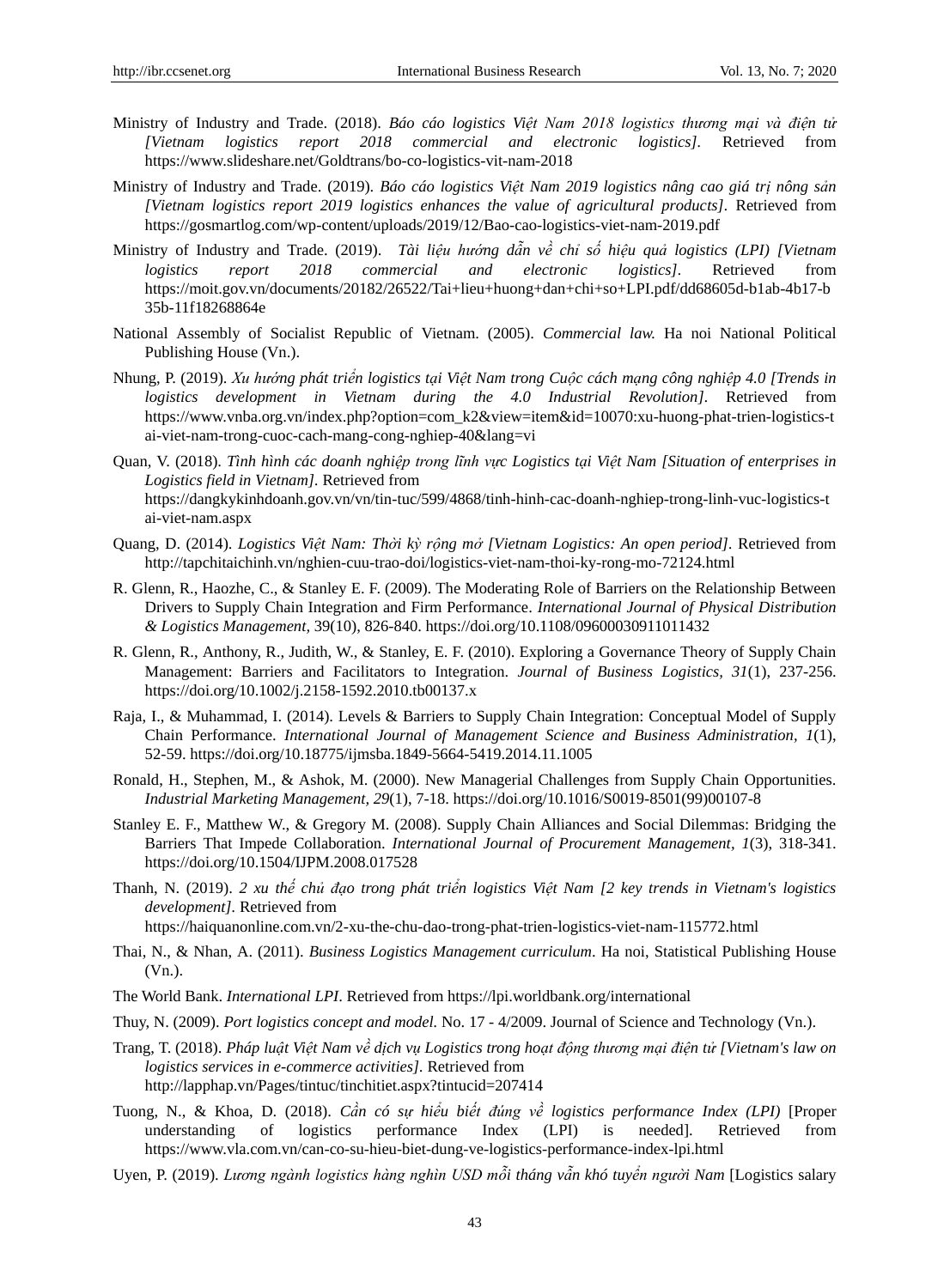- Ministry of Industry and Trade. (2018). *Báo cáo logistics Việt Nam 2018 logistics thương mại và điện tử [Vietnam logistics report 2018 commercial and electronic logistics].* Retrieved from https://www.slideshare.net/Goldtrans/bo-co-logistics-vit-nam-2018
- Ministry of Industry and Trade. (2019). *Báo cáo logistics Việt Nam 2019 logistics nâng cao giá trị nông sản [Vietnam logistics report 2019 logistics enhances the value of agricultural products].* Retrieved from https://gosmartlog.com/wp-content/uploads/2019/12/Bao-cao-logistics-viet-nam-2019.pdf
- Ministry of Industry and Trade. (2019). *Tài liệu hướng dẫn về chỉ số hiệu quả logistics (LPI) [Vietnam logistics report 2018 commercial and electronic logistics].* Retrieved from [https://moit.gov.vn/documents/20182/26522/Tai+lieu+huong+dan+chi+so+LPI.pdf/dd68605d-b1ab-4b17-b](https://moit.gov.vn/documents/20182/26522/Tai+lieu+huong+dan+chi+so+LPI.pdf/dd68605d-b1ab-4b17-b35b-11f18268864e) [35b-11f18268864e](https://moit.gov.vn/documents/20182/26522/Tai+lieu+huong+dan+chi+so+LPI.pdf/dd68605d-b1ab-4b17-b35b-11f18268864e)
- National Assembly of Socialist Republic of Vietnam. (2005). *Commercial law.* Ha noi National Political Publishing House (Vn.).
- Nhung, P. (2019). *Xu hướng phát triển logistics tại Việt Nam trong Cuộc cách mạng công nghiệp 4.0 [Trends in logistics development in Vietnam during the 4.0 Industrial Revolution].* Retrieved from [https://www.vnba.org.vn/index.php?option=com\\_k2&view=item&id=10070:xu-huong-phat-trien-logistics-t](https://www.vnba.org.vn/index.php?option=com_k2&view=item&id=10070:xu-huong-phat-trien-logistics-tai-viet-nam-trong-cuoc-cach-mang-cong-nghiep-40&lang=vi) [ai-viet-nam-trong-cuoc-cach-mang-cong-nghiep-40&lang=vi](https://www.vnba.org.vn/index.php?option=com_k2&view=item&id=10070:xu-huong-phat-trien-logistics-tai-viet-nam-trong-cuoc-cach-mang-cong-nghiep-40&lang=vi)
- Quan, V. (2018). *Tình hình các doanh nghiệp trong lĩnh vực Logistics tại Việt Nam [Situation of enterprises in Logistics field in Vietnam].* Retrieved from [https://dangkykinhdoanh.gov.vn/vn/tin-tuc/599/4868/tinh-hinh-cac-doanh-nghiep-trong-linh-vuc-logistics-t](https://dangkykinhdoanh.gov.vn/vn/tin-tuc/599/4868/tinh-hinh-cac-doanh-nghiep-trong-linh-vuc-logistics-tai-viet-nam.aspx) [ai-viet-nam.aspx](https://dangkykinhdoanh.gov.vn/vn/tin-tuc/599/4868/tinh-hinh-cac-doanh-nghiep-trong-linh-vuc-logistics-tai-viet-nam.aspx)
- Quang, D. (2014). *Logistics Việt Nam: Thời kỳ rộng mở [Vietnam Logistics: An open period].* Retrieved from http://tapchitaichinh.vn/nghien-cuu-trao-doi/logistics-viet-nam-thoi-ky-rong-mo-72124.html
- R. Glenn, R., Haozhe, C., & Stanley E. F. (2009). The Moderating Role of Barriers on the Relationship Between Drivers to Supply Chain Integration and Firm Performance. *International Journal of Physical Distribution & Logistics Management,* 39(10), 826-840. https://doi.org/10.1108/09600030911011432
- R. Glenn, R., Anthony, R., Judith, W., & Stanley, E. F. (2010). Exploring a Governance Theory of Supply Chain Management: Barriers and Facilitators to Integration. *Journal of Business Logistics, 31*(1), 237-256. https://doi.org/10.1002/j.2158-1592.2010.tb00137.x
- Raja, I., & Muhammad, I. (2014). Levels & Barriers to Supply Chain Integration: Conceptual Model of Supply Chain Performance. *International Journal of Management Science and Business Administration, 1*(1), 52-59. https://doi.org/10.18775/ijmsba.1849-5664-5419.2014.11.1005
- Ronald, H., Stephen, M., & Ashok, M. (2000). New Managerial Challenges from Supply Chain Opportunities. *Industrial Marketing Management, 29*(1), 7-18. https://doi.org/10.1016/S0019-8501(99)00107-8
- Stanley E. F., Matthew W., & Gregory M. (2008). Supply Chain Alliances and Social Dilemmas: Bridging the Barriers That Impede Collaboration. *International Journal of Procurement Management, 1*(3), 318-341. https://doi.org/10.1504/IJPM.2008.017528
- Thanh, N. (2019). *2 xu thế chủ đạo trong phát triển logistics Việt Nam [2 key trends in Vietnam's logistics development].* Retrieved from
	- <https://haiquanonline.com.vn/2-xu-the-chu-dao-trong-phat-trien-logistics-viet-nam-115772.html>
- Thai, N., & Nhan, A. (2011). *Business Logistics Management curriculum*. Ha noi, Statistical Publishing House (Vn.).
- The World Bank. *International LPI*. Retrieved fro[m https://lpi.worldbank.org/international](https://lpi.worldbank.org/international)
- Thuy, N. (2009). *Port logistics concept and model.* No. 17 4/2009. Journal of Science and Technology (Vn.).
- Trang, T. (2018). *Pháp luật Việt Nam về dịch vụ Logistics trong hoạt động thương mại điện tử [Vietnam's law on logistics services in e-commerce activities].* Retrieved from <http://lapphap.vn/Pages/tintuc/tinchitiet.aspx?tintucid=207414>
- Tuong, N., & Khoa, D. (2018). *Cần có sự hiểu biết đúng về logistics performance Index (LPI)* [Proper understanding of logistics performance Index (LPI) is needed]. Retrieved from https://www.vla.com.vn/can-co-su-hieu-biet-dung-ve-logistics-performance-index-lpi.html
- Uyen, P. (2019). *Lương ngành logistics hàng nghìn USD mỗi tháng vẫn khó tuyển người Nam* [Logistics salary